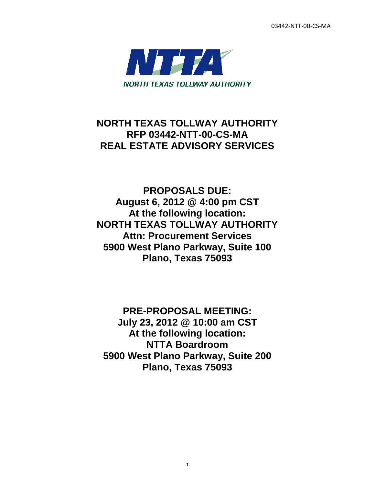03442-NTT-00-CS-MA



# **NORTH TEXAS TOLLWAY AUTHORITY RFP 03442-NTT-00-CS-MA REAL ESTATE ADVISORY SERVICES**

**PROPOSALS DUE: August 6, 2012 @ 4:00 pm CST At the following location: NORTH TEXAS TOLLWAY AUTHORITY Attn: Procurement Services 5900 West Plano Parkway, Suite 100 Plano, Texas 75093** 

**PRE-PROPOSAL MEETING: July 23, 2012 @ 10:00 am CST At the following location: NTTA Boardroom 5900 West Plano Parkway, Suite 200 Plano, Texas 75093** 

1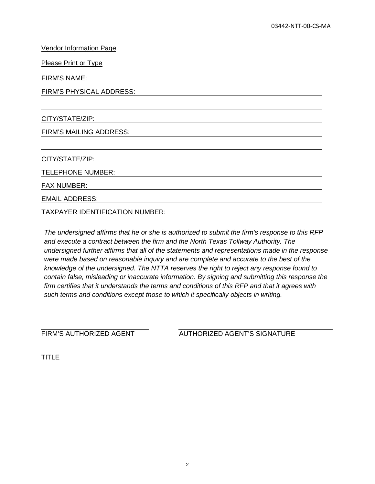Vendor Information Page

Please Print or Type

FIRM'S NAME:

FIRM'S PHYSICAL ADDRESS:

CITY/STATE/ZIP:

FIRM'S MAILING ADDRESS:

CITY/STATE/ZIP:

TELEPHONE NUMBER:

FAX NUMBER:

EMAIL ADDRESS:

TAXPAYER IDENTIFICATION NUMBER:

*The undersigned affirms that he or she is authorized to submit the firm's response to this RFP and execute a contract between the firm and the North Texas Tollway Authority. The undersigned further affirms that all of the statements and representations made in the response were made based on reasonable inquiry and are complete and accurate to the best of the knowledge of the undersigned. The NTTA reserves the right to reject any response found to contain false, misleading or inaccurate information. By signing and submitting this response the firm certifies that it understands the terms and conditions of this RFP and that it agrees with such terms and conditions except those to which it specifically objects in writing.*

FIRM'S AUTHORIZED AGENT AUTHORIZED AGENT'S SIGNATURE

TITLE<sup>T</sup>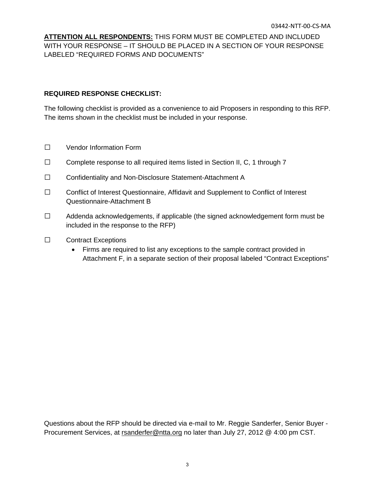**ATTENTION ALL RESPONDENTS:** THIS FORM MUST BE COMPLETED AND INCLUDED WITH YOUR RESPONSE – IT SHOULD BE PLACED IN A SECTION OF YOUR RESPONSE LABELED "REQUIRED FORMS AND DOCUMENTS"

#### **REQUIRED RESPONSE CHECKLIST:**

The following checklist is provided as a convenience to aid Proposers in responding to this RFP. The items shown in the checklist must be included in your response.

- □ Vendor Information Form
- $\Box$  Complete response to all required items listed in Section II, C, 1 through 7
- □ Confidentiality and Non-Disclosure Statement-Attachment A
- □ Conflict of Interest Questionnaire, Affidavit and Supplement to Conflict of Interest Questionnaire-Attachment B
- $\Box$  Addenda acknowledgements, if applicable (the signed acknowledgement form must be included in the response to the RFP)
- □ Contract Exceptions
	- Firms are required to list any exceptions to the sample contract provided in Attachment F, in a separate section of their proposal labeled "Contract Exceptions"

Questions about the RFP should be directed via e-mail to Mr. Reggie Sanderfer, Senior Buyer - Procurement Services, at rsanderfer@ntta.org no later than July 27, 2012 @ 4:00 pm CST.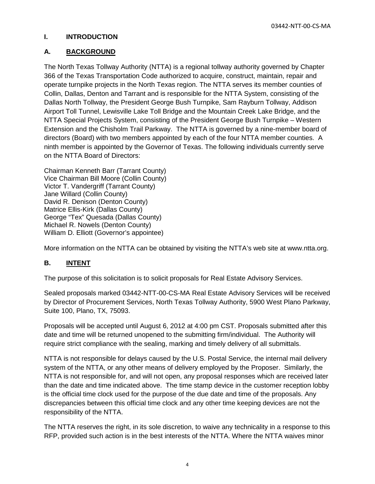03442-NTT-00-CS-MA

#### **I. INTRODUCTION**

#### **A. BACKGROUND**

The North Texas Tollway Authority (NTTA) is a regional tollway authority governed by Chapter 366 of the Texas Transportation Code authorized to acquire, construct, maintain, repair and operate turnpike projects in the North Texas region. The NTTA serves its member counties of Collin, Dallas, Denton and Tarrant and is responsible for the NTTA System, consisting of the Dallas North Tollway, the President George Bush Turnpike, Sam Rayburn Tollway, Addison Airport Toll Tunnel, Lewisville Lake Toll Bridge and the Mountain Creek Lake Bridge, and the NTTA Special Projects System, consisting of the President George Bush Turnpike – Western Extension and the Chisholm Trail Parkway. The NTTA is governed by a nine-member board of directors (Board) with two members appointed by each of the four NTTA member counties. A ninth member is appointed by the Governor of Texas. The following individuals currently serve on the NTTA Board of Directors:

Chairman Kenneth Barr (Tarrant County) Vice Chairman Bill Moore (Collin County) Victor T. Vandergriff (Tarrant County) Jane Willard (Collin County) David R. Denison (Denton County) Matrice Ellis-Kirk (Dallas County) George "Tex" Quesada (Dallas County) Michael R. Nowels (Denton County) William D. Elliott (Governor's appointee)

More information on the NTTA can be obtained by visiting the NTTA's web site at www.ntta.org.

#### **B. INTENT**

The purpose of this solicitation is to solicit proposals for Real Estate Advisory Services.

Sealed proposals marked 03442-NTT-00-CS-MA Real Estate Advisory Services will be received by Director of Procurement Services, North Texas Tollway Authority, 5900 West Plano Parkway, Suite 100, Plano, TX, 75093.

Proposals will be accepted until August 6, 2012 at 4:00 pm CST. Proposals submitted after this date and time will be returned unopened to the submitting firm/individual. The Authority will require strict compliance with the sealing, marking and timely delivery of all submittals.

NTTA is not responsible for delays caused by the U.S. Postal Service, the internal mail delivery system of the NTTA, or any other means of delivery employed by the Proposer. Similarly, the NTTA is not responsible for, and will not open, any proposal responses which are received later than the date and time indicated above. The time stamp device in the customer reception lobby is the official time clock used for the purpose of the due date and time of the proposals. Any discrepancies between this official time clock and any other time keeping devices are not the responsibility of the NTTA.

The NTTA reserves the right, in its sole discretion, to waive any technicality in a response to this RFP, provided such action is in the best interests of the NTTA. Where the NTTA waives minor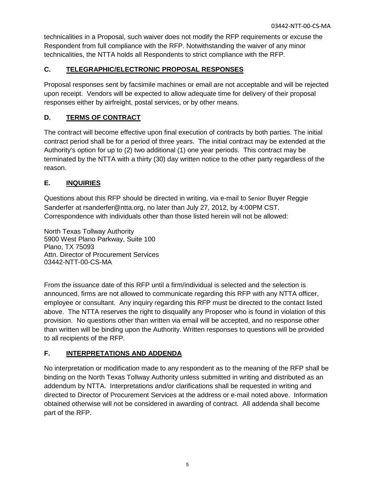technicalities in a Proposal, such waiver does not modify the RFP requirements or excuse the Respondent from full compliance with the RFP. Notwithstanding the waiver of any minor technicalities, the NTTA holds all Respondents to strict compliance with the RFP.

## **C. TELEGRAPHIC/ELECTRONIC PROPOSAL RESPONSES**

Proposal responses sent by facsimile machines or email are not acceptable and will be rejected upon receipt. Vendors will be expected to allow adequate time for delivery of their proposal responses either by airfreight, postal services, or by other means.

## **D. TERMS OF CONTRACT**

The contract will become effective upon final execution of contracts by both parties. The initial contract period shall be for a period of three years. The initial contract may be extended at the Authority's option for up to (2) two additional (1) one year periods. This contract may be terminated by the NTTA with a thirty (30) day written notice to the other party regardless of the reason.

## **E. INQUIRIES**

Questions about this RFP should be directed in writing, via e-mail to Senior Buyer Reggie Sanderfer at rsanderfer@ntta.org, no later than July 27, 2012, by 4:00PM CST. Correspondence with individuals other than those listed herein will not be allowed:

North Texas Tollway Authority 5900 West Plano Parkway, Suite 100 Plano, TX 75093 Attn. Director of Procurement Services 03442-NTT-00-CS-MA

From the issuance date of this RFP until a firm/individual is selected and the selection is announced, firms are not allowed to communicate regarding this RFP with any NTTA officer, employee or consultant. Any inquiry regarding this RFP must be directed to the contact listed above. The NTTA reserves the right to disqualify any Proposer who is found in violation of this provision. No questions other than written via email will be accepted, and no response other than written will be binding upon the Authority. Written responses to questions will be provided to all recipients of the RFP.

## **F. INTERPRETATIONS AND ADDENDA**

No interpretation or modification made to any respondent as to the meaning of the RFP shall be binding on the North Texas Tollway Authority unless submitted in writing and distributed as an addendum by NTTA. Interpretations and/or clarifications shall be requested in writing and directed to Director of Procurement Services at the address or e-mail noted above. Information obtained otherwise will not be considered in awarding of contract. All addenda shall become part of the RFP.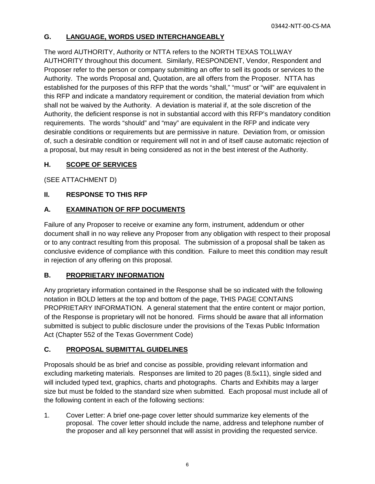## **G. LANGUAGE, WORDS USED INTERCHANGEABLY**

The word AUTHORITY, Authority or NTTA refers to the NORTH TEXAS TOLLWAY AUTHORITY throughout this document. Similarly, RESPONDENT, Vendor, Respondent and Proposer refer to the person or company submitting an offer to sell its goods or services to the Authority. The words Proposal and, Quotation, are all offers from the Proposer. NTTA has established for the purposes of this RFP that the words "shall," "must" or "will" are equivalent in this RFP and indicate a mandatory requirement or condition, the material deviation from which shall not be waived by the Authority. A deviation is material if, at the sole discretion of the Authority, the deficient response is not in substantial accord with this RFP's mandatory condition requirements. The words "should" and "may" are equivalent in the RFP and indicate very desirable conditions or requirements but are permissive in nature. Deviation from, or omission of, such a desirable condition or requirement will not in and of itself cause automatic rejection of a proposal, but may result in being considered as not in the best interest of the Authority.

## **H. SCOPE OF SERVICES**

(SEE ATTACHMENT D)

## **II. RESPONSE TO THIS RFP**

## **A. EXAMINATION OF RFP DOCUMENTS**

Failure of any Proposer to receive or examine any form, instrument, addendum or other document shall in no way relieve any Proposer from any obligation with respect to their proposal or to any contract resulting from this proposal. The submission of a proposal shall be taken as conclusive evidence of compliance with this condition. Failure to meet this condition may result in rejection of any offering on this proposal.

## **B. PROPRIETARY INFORMATION**

Any proprietary information contained in the Response shall be so indicated with the following notation in BOLD letters at the top and bottom of the page, THIS PAGE CONTAINS PROPRIETARY INFORMATION. A general statement that the entire content or major portion, of the Response is proprietary will not be honored. Firms should be aware that all information submitted is subject to public disclosure under the provisions of the Texas Public Information Act (Chapter 552 of the Texas Government Code)

## **C. PROPOSAL SUBMITTAL GUIDELINES**

Proposals should be as brief and concise as possible, providing relevant information and excluding marketing materials. Responses are limited to 20 pages (8.5x11), single sided and will included typed text, graphics, charts and photographs. Charts and Exhibits may a larger size but must be folded to the standard size when submitted. Each proposal must include all of the following content in each of the following sections:

1. Cover Letter: A brief one-page cover letter should summarize key elements of the proposal. The cover letter should include the name, address and telephone number of the proposer and all key personnel that will assist in providing the requested service.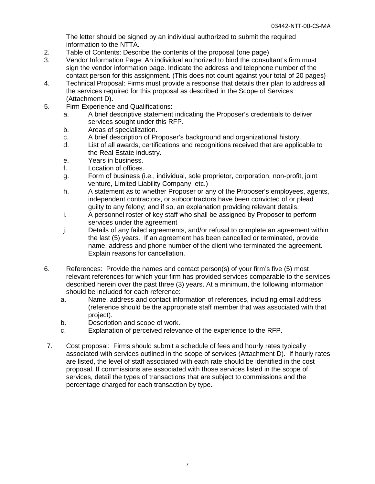The letter should be signed by an individual authorized to submit the required information to the NTTA.

- 2. Table of Contents: Describe the contents of the proposal (one page)
- 3. Vendor Information Page: An individual authorized to bind the consultant's firm must sign the vendor information page. Indicate the address and telephone number of the contact person for this assignment. (This does not count against your total of 20 pages)
- 4. Technical Proposal: Firms must provide a response that details their plan to address all the services required for this proposal as described in the Scope of Services (Attachment D).
- 5. Firm Experience and Qualifications:
	- a. A brief descriptive statement indicating the Proposer's credentials to deliver services sought under this RFP.
	- b. Areas of specialization.
	- c. A brief description of Proposer's background and organizational history.
	- d. List of all awards, certifications and recognitions received that are applicable to the Real Estate industry.
	- e. Years in business.
	- f. Location of offices.
	- g. Form of business (i.e., individual, sole proprietor, corporation, non-profit, joint venture, Limited Liability Company, etc.)
	- h. A statement as to whether Proposer or any of the Proposer's employees, agents, independent contractors, or subcontractors have been convicted of or plead guilty to any felony; and if so, an explanation providing relevant details.
	- i. A personnel roster of key staff who shall be assigned by Proposer to perform services under the agreement
	- j. Details of any failed agreements, and/or refusal to complete an agreement within the last (5) years. If an agreement has been cancelled or terminated, provide name, address and phone number of the client who terminated the agreement. Explain reasons for cancellation.
- 6. References: Provide the names and contact person(s) of your firm's five (5) most relevant references for which your firm has provided services comparable to the services described herein over the past three (3) years. At a minimum, the following information should be included for each reference:
	- a. Name, address and contact information of references, including email address (reference should be the appropriate staff member that was associated with that project).
	- b. Description and scope of work.
	- c. Explanation of perceived relevance of the experience to the RFP.
- 7**.** Cost proposal: Firms should submit a schedule of fees and hourly rates typically associated with services outlined in the scope of services (Attachment D). If hourly rates are listed, the level of staff associated with each rate should be identified in the cost proposal. If commissions are associated with those services listed in the scope of services, detail the types of transactions that are subject to commissions and the percentage charged for each transaction by type.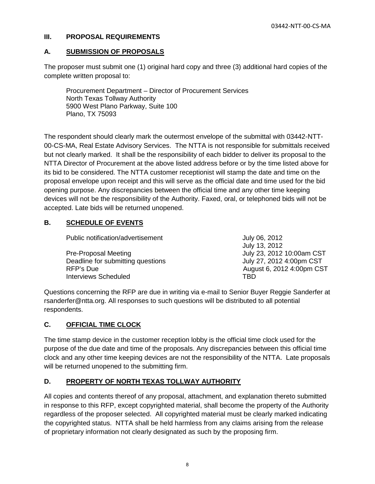#### **III. PROPOSAL REQUIREMENTS**

## **A. SUBMISSION OF PROPOSALS**

The proposer must submit one (1) original hard copy and three (3) additional hard copies of the complete written proposal to:

Procurement Department – Director of Procurement Services North Texas Tollway Authority 5900 West Plano Parkway, Suite 100 Plano, TX 75093

The respondent should clearly mark the outermost envelope of the submittal with 03442-NTT-00-CS-MA, Real Estate Advisory Services. The NTTA is not responsible for submittals received but not clearly marked. It shall be the responsibility of each bidder to deliver its proposal to the NTTA Director of Procurement at the above listed address before or by the time listed above for its bid to be considered. The NTTA customer receptionist will stamp the date and time on the proposal envelope upon receipt and this will serve as the official date and time used for the bid opening purpose. Any discrepancies between the official time and any other time keeping devices will not be the responsibility of the Authority. Faxed, oral, or telephoned bids will not be accepted. Late bids will be returned unopened.

### **B. SCHEDULE OF EVENTS**

| Public notification/advertisement | July 06, 2012             |
|-----------------------------------|---------------------------|
|                                   | July 13, 2012             |
| <b>Pre-Proposal Meeting</b>       | July 23, 2012 10:00am CST |
| Deadline for submitting questions | July 27, 2012 4:00pm CST  |
| RFP's Due                         | August 6, 2012 4:00pm CST |
| <b>Interviews Scheduled</b>       | TRD                       |

Questions concerning the RFP are due in writing via e-mail to Senior Buyer Reggie Sanderfer at rsanderfer@ntta.org. All responses to such questions will be distributed to all potential respondents.

## **C. OFFICIAL TIME CLOCK**

The time stamp device in the customer reception lobby is the official time clock used for the purpose of the due date and time of the proposals. Any discrepancies between this official time clock and any other time keeping devices are not the responsibility of the NTTA. Late proposals will be returned unopened to the submitting firm.

## **D. PROPERTY OF NORTH TEXAS TOLLWAY AUTHORITY**

All copies and contents thereof of any proposal, attachment, and explanation thereto submitted in response to this RFP, except copyrighted material, shall become the property of the Authority regardless of the proposer selected. All copyrighted material must be clearly marked indicating the copyrighted status. NTTA shall be held harmless from any claims arising from the release of proprietary information not clearly designated as such by the proposing firm.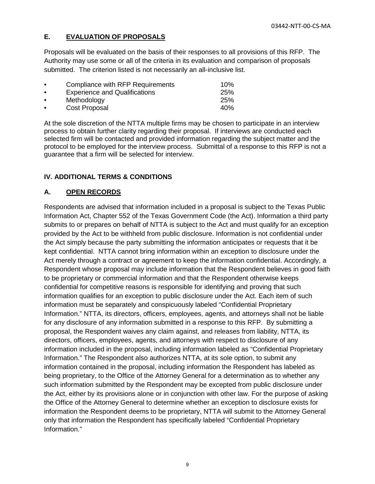#### **E. EVALUATION OF PROPOSALS**

Proposals will be evaluated on the basis of their responses to all provisions of this RFP. The Authority may use some or all of the criteria in its evaluation and comparison of proposals submitted. The criterion listed is not necessarily an all-inclusive list.

| $\bullet$ | Compliance with RFP Requirements     | 10%        |
|-----------|--------------------------------------|------------|
| $\bullet$ | <b>Experience and Qualifications</b> | <b>25%</b> |
| $\bullet$ | Methodology                          | 25%        |
| $\bullet$ | Cost Proposal                        | 40%        |

At the sole discretion of the NTTA multiple firms may be chosen to participate in an interview process to obtain further clarity regarding their proposal. If interviews are conducted each selected firm will be contacted and provided information regarding the subject matter and the protocol to be employed for the interview process. Submittal of a response to this RFP is not a guarantee that a firm will be selected for interview.

#### **IV. ADDITIONAL TERMS & CONDITIONS**

#### **A. OPEN RECORDS**

Respondents are advised that information included in a proposal is subject to the Texas Public Information Act, Chapter 552 of the Texas Government Code (the Act). Information a third party submits to or prepares on behalf of NTTA is subject to the Act and must qualify for an exception provided by the Act to be withheld from public disclosure. Information is not confidential under the Act simply because the party submitting the information anticipates or requests that it be kept confidential. NTTA cannot bring information within an exception to disclosure under the Act merely through a contract or agreement to keep the information confidential. Accordingly, a Respondent whose proposal may include information that the Respondent believes in good faith to be proprietary or commercial information and that the Respondent otherwise keeps confidential for competitive reasons is responsible for identifying and proving that such information qualifies for an exception to public disclosure under the Act. Each item of such information must be separately and conspicuously labeled "Confidential Proprietary Information." NTTA, its directors, officers, employees, agents, and attorneys shall not be liable for any disclosure of any information submitted in a response to this RFP. By submitting a proposal, the Respondent waives any claim against, and releases from liability, NTTA, its directors, officers, employees, agents, and attorneys with respect to disclosure of any information included in the proposal, including information labeled as "Confidential Proprietary Information." The Respondent also authorizes NTTA, at its sole option, to submit any information contained in the proposal, including information the Respondent has labeled as being proprietary, to the Office of the Attorney General for a determination as to whether any such information submitted by the Respondent may be excepted from public disclosure under the Act, either by its provisions alone or in conjunction with other law. For the purpose of asking the Office of the Attorney General to determine whether an exception to disclosure exists for information the Respondent deems to be proprietary, NTTA will submit to the Attorney General only that information the Respondent has specifically labeled "Confidential Proprietary Information."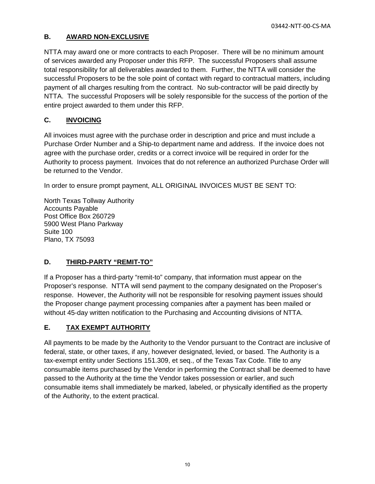## **B. AWARD NON-EXCLUSIVE**

NTTA may award one or more contracts to each Proposer. There will be no minimum amount of services awarded any Proposer under this RFP. The successful Proposers shall assume total responsibility for all deliverables awarded to them. Further, the NTTA will consider the successful Proposers to be the sole point of contact with regard to contractual matters, including payment of all charges resulting from the contract. No sub-contractor will be paid directly by NTTA. The successful Proposers will be solely responsible for the success of the portion of the entire project awarded to them under this RFP.

## **C. INVOICING**

All invoices must agree with the purchase order in description and price and must include a Purchase Order Number and a Ship-to department name and address. If the invoice does not agree with the purchase order, credits or a correct invoice will be required in order for the Authority to process payment. Invoices that do not reference an authorized Purchase Order will be returned to the Vendor.

In order to ensure prompt payment, ALL ORIGINAL INVOICES MUST BE SENT TO:

North Texas Tollway Authority Accounts Payable Post Office Box 260729 5900 West Plano Parkway Suite 100 Plano, TX 75093

## **D. THIRD-PARTY "REMIT-TO"**

If a Proposer has a third-party "remit-to" company, that information must appear on the Proposer's response. NTTA will send payment to the company designated on the Proposer's response. However, the Authority will not be responsible for resolving payment issues should the Proposer change payment processing companies after a payment has been mailed or without 45-day written notification to the Purchasing and Accounting divisions of NTTA.

## **E. TAX EXEMPT AUTHORITY**

All payments to be made by the Authority to the Vendor pursuant to the Contract are inclusive of federal, state, or other taxes, if any, however designated, levied, or based. The Authority is a tax-exempt entity under Sections 151.309, et seq., of the Texas Tax Code. Title to any consumable items purchased by the Vendor in performing the Contract shall be deemed to have passed to the Authority at the time the Vendor takes possession or earlier, and such consumable items shall immediately be marked, labeled, or physically identified as the property of the Authority, to the extent practical.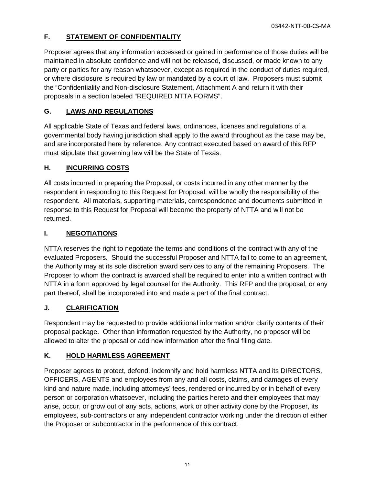## **F. STATEMENT OF CONFIDENTIALITY**

Proposer agrees that any information accessed or gained in performance of those duties will be maintained in absolute confidence and will not be released, discussed, or made known to any party or parties for any reason whatsoever, except as required in the conduct of duties required, or where disclosure is required by law or mandated by a court of law. Proposers must submit the "Confidentiality and Non-disclosure Statement, Attachment A and return it with their proposals in a section labeled "REQUIRED NTTA FORMS".

## **G. LAWS AND REGULATIONS**

All applicable State of Texas and federal laws, ordinances, licenses and regulations of a governmental body having jurisdiction shall apply to the award throughout as the case may be, and are incorporated here by reference. Any contract executed based on award of this RFP must stipulate that governing law will be the State of Texas.

## **H. INCURRING COSTS**

All costs incurred in preparing the Proposal, or costs incurred in any other manner by the respondent in responding to this Request for Proposal, will be wholly the responsibility of the respondent. All materials, supporting materials, correspondence and documents submitted in response to this Request for Proposal will become the property of NTTA and will not be returned.

## **I. NEGOTIATIONS**

NTTA reserves the right to negotiate the terms and conditions of the contract with any of the evaluated Proposers. Should the successful Proposer and NTTA fail to come to an agreement, the Authority may at its sole discretion award services to any of the remaining Proposers. The Proposer to whom the contract is awarded shall be required to enter into a written contract with NTTA in a form approved by legal counsel for the Authority. This RFP and the proposal, or any part thereof, shall be incorporated into and made a part of the final contract.

## **J. CLARIFICATION**

Respondent may be requested to provide additional information and/or clarify contents of their proposal package. Other than information requested by the Authority, no proposer will be allowed to alter the proposal or add new information after the final filing date.

## **K. HOLD HARMLESS AGREEMENT**

Proposer agrees to protect, defend, indemnify and hold harmless NTTA and its DIRECTORS, OFFICERS, AGENTS and employees from any and all costs, claims, and damages of every kind and nature made, including attorneys' fees, rendered or incurred by or in behalf of every person or corporation whatsoever, including the parties hereto and their employees that may arise, occur, or grow out of any acts, actions, work or other activity done by the Proposer, its employees, sub-contractors or any independent contractor working under the direction of either the Proposer or subcontractor in the performance of this contract.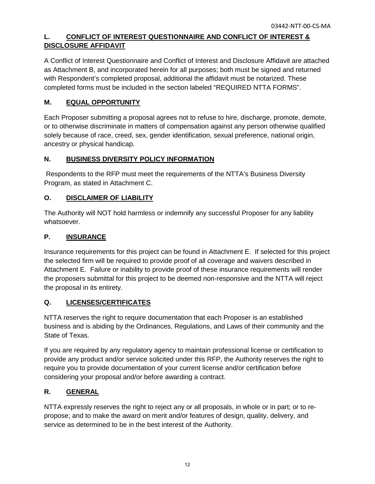## **L. CONFLICT OF INTEREST QUESTIONNAIRE AND CONFLICT OF INTEREST & DISCLOSURE AFFIDAVIT**

A Conflict of Interest Questionnaire and Conflict of Interest and Disclosure Affidavit are attached as Attachment B, and incorporated herein for all purposes; both must be signed and returned with Respondent's completed proposal, additional the affidavit must be notarized. These completed forms must be included in the section labeled "REQUIRED NTTA FORMS".

## **M. EQUAL OPPORTUNITY**

Each Proposer submitting a proposal agrees not to refuse to hire, discharge, promote, demote, or to otherwise discriminate in matters of compensation against any person otherwise qualified solely because of race, creed, sex, gender identification, sexual preference, national origin, ancestry or physical handicap.

## **N. BUSINESS DIVERSITY POLICY INFORMATION**

Respondents to the RFP must meet the requirements of the NTTA's Business Diversity Program, as stated in Attachment C.

## **O. DISCLAIMER OF LIABILITY**

The Authority will NOT hold harmless or indemnify any successful Proposer for any liability whatsoever.

## **P. INSURANCE**

Insurance requirements for this project can be found in Attachment E. If selected for this project the selected firm will be required to provide proof of all coverage and waivers described in Attachment E. Failure or inability to provide proof of these insurance requirements will render the proposers submittal for this project to be deemed non-responsive and the NTTA will reject the proposal in its entirety.

## **Q. LICENSES/CERTIFICATES**

NTTA reserves the right to require documentation that each Proposer is an established business and is abiding by the Ordinances, Regulations, and Laws of their community and the State of Texas.

If you are required by any regulatory agency to maintain professional license or certification to provide any product and/or service solicited under this RFP, the Authority reserves the right to require you to provide documentation of your current license and/or certification before considering your proposal and/or before awarding a contract.

## **R. GENERAL**

NTTA expressly reserves the right to reject any or all proposals, in whole or in part; or to repropose; and to make the award on merit and/or features of design, quality, delivery, and service as determined to be in the best interest of the Authority.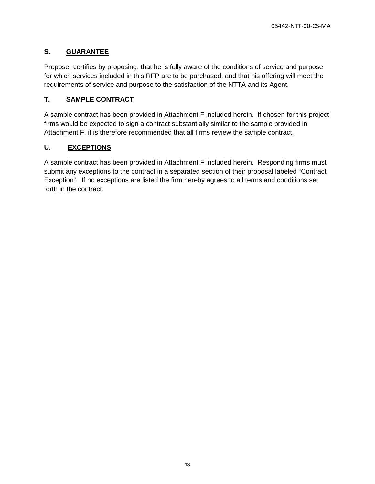## **S. GUARANTEE**

Proposer certifies by proposing, that he is fully aware of the conditions of service and purpose for which services included in this RFP are to be purchased, and that his offering will meet the requirements of service and purpose to the satisfaction of the NTTA and its Agent.

## **T. SAMPLE CONTRACT**

A sample contract has been provided in Attachment F included herein. If chosen for this project firms would be expected to sign a contract substantially similar to the sample provided in Attachment F, it is therefore recommended that all firms review the sample contract.

### **U. EXCEPTIONS**

A sample contract has been provided in Attachment F included herein. Responding firms must submit any exceptions to the contract in a separated section of their proposal labeled "Contract Exception". If no exceptions are listed the firm hereby agrees to all terms and conditions set forth in the contract.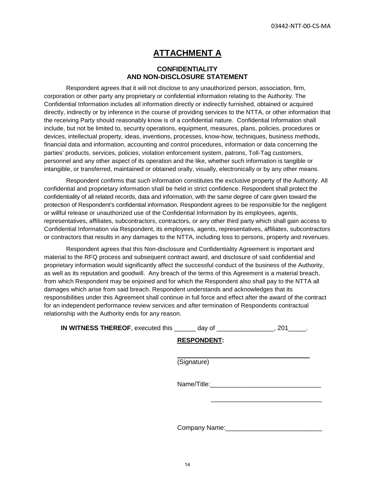## **ATTACHMENT A**

#### **CONFIDENTIALITY AND NON-DISCLOSURE STATEMENT**

Respondent agrees that it will not disclose to any unauthorized person, association, firm, corporation or other party any proprietary or confidential information relating to the Authority. The Confidential Information includes all information directly or indirectly furnished, obtained or acquired directly, indirectly or by inference in the course of providing services to the NTTA, or other information that the receiving Party should reasonably know is of a confidential nature. Confidential Information shall include, but not be limited to, security operations, equipment, measures, plans, policies, procedures or devices, intellectual property, ideas, inventions, processes, know-how, techniques, business methods, financial data and information, accounting and control procedures, information or data concerning the parties' products, services, policies, violation enforcement system, patrons, Toll-Tag customers, personnel and any other aspect of its operation and the like, whether such information is tangible or intangible, or transferred, maintained or obtained orally, visually, electronically or by any other means.

Respondent confirms that such information constitutes the exclusive property of the Authority. All confidential and proprietary information shall be held in strict confidence. Respondent shall protect the confidentiality of all related records, data and information, with the same degree of care given toward the protection of Respondent's confidential information. Respondent agrees to be responsible for the negligent or willful release or unauthorized use of the Confidential Information by its employees, agents, representatives, affiliates, subcontractors, contractors, or any other third party which shall gain access to Confidential Information via Respondent, its employees, agents, representatives, affiliates, subcontractors or contractors that results in any damages to the NTTA, including loss to persons, property and revenues.

Respondent agrees that this Non-disclosure and Confidentiality Agreement is important and material to the RFQ process and subsequent contract award, and disclosure of said confidential and proprietary information would significantly affect the successful conduct of the business of the Authority, as well as its reputation and goodwill. Any breach of the terms of this Agreement is a material breach, from which Respondent may be enjoined and for which the Respondent also shall pay to the NTTA all damages which arise from said breach. Respondent understands and acknowledges that its responsibilities under this Agreement shall continue in full force and effect after the award of the contract for an independent performance review services and after termination of Respondents contractual relationship with the Authority ends for any reason.

 **IN WITNESS THEREOF**, executed this \_\_\_\_\_\_ day of \_\_\_\_\_\_\_\_\_\_\_\_\_\_\_\_, 201\_\_\_\_\_.

 $\overline{a}$ 

#### **RESPONDENT:**

(Signature)

Name/Title:

 $\frac{1}{2}$  ,  $\frac{1}{2}$  ,  $\frac{1}{2}$  ,  $\frac{1}{2}$  ,  $\frac{1}{2}$  ,  $\frac{1}{2}$  ,  $\frac{1}{2}$  ,  $\frac{1}{2}$  ,  $\frac{1}{2}$  ,  $\frac{1}{2}$  ,  $\frac{1}{2}$  ,  $\frac{1}{2}$  ,  $\frac{1}{2}$  ,  $\frac{1}{2}$  ,  $\frac{1}{2}$  ,  $\frac{1}{2}$  ,  $\frac{1}{2}$  ,  $\frac{1}{2}$  ,  $\frac{1$ 

Company Name:\_\_\_\_\_\_\_\_\_\_\_\_\_\_\_\_\_\_\_\_\_\_\_\_\_\_\_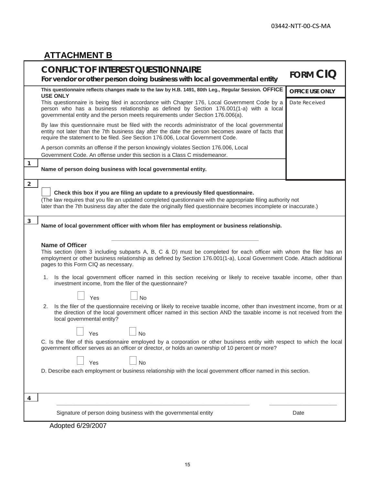J.

# **ATTACHMENT B**

|                | <b>CONFLICT OF INTEREST QUESTIONNAIRE</b><br>For vendor or other person doing business with local governmental entity                                                                                                                                                                                          | <b>FORM CIQ</b>        |
|----------------|----------------------------------------------------------------------------------------------------------------------------------------------------------------------------------------------------------------------------------------------------------------------------------------------------------------|------------------------|
|                | This questionnaire reflects changes made to the law by H.B. 1491, 80th Leg., Regular Session. OFFICE<br><b>USE ONLY</b>                                                                                                                                                                                        | <b>OFFICE USE ONLY</b> |
|                | This questionnaire is being filed in accordance with Chapter 176, Local Government Code by a<br>person who has a business relationship as defined by Section 176.001(1-a) with a local<br>governmental entity and the person meets requirements under Section 176.006(a).                                      | Date Received          |
|                | By law this questionnaire must be filed with the records administrator of the local governmental<br>entity not later than the 7th business day after the date the person becomes aware of facts that<br>require the statement to be filed. See Section 176.006, Local Government Code.                         |                        |
|                | A person commits an offense if the person knowingly violates Section 176.006, Local<br>Government Code. An offense under this section is a Class C misdemeanor.                                                                                                                                                |                        |
| $\overline{1}$ | Name of person doing business with local governmental entity.                                                                                                                                                                                                                                                  |                        |
| $\overline{2}$ |                                                                                                                                                                                                                                                                                                                |                        |
|                | Check this box if you are filing an update to a previously filed questionnaire.<br>(The law requires that you file an updated completed questionnaire with the appropriate filing authority not                                                                                                                |                        |
|                | later than the 7th business day after the date the originally filed questionnaire becomes incomplete or inaccurate.)                                                                                                                                                                                           |                        |
| $\overline{3}$ | Name of local government officer with whom filer has employment or business relationship.                                                                                                                                                                                                                      |                        |
|                | <b>Name of Officer</b><br>This section (item 3 including subparts A, B, C & D) must be completed for each officer with whom the filer has an<br>employment or other business relationship as defined by Section 176.001(1-a), Local Government Code. Attach additional<br>pages to this Form CIQ as necessary. |                        |
|                | 1. Is the local government officer named in this section receiving or likely to receive taxable income, other than<br>investment income, from the filer of the questionnaire?                                                                                                                                  |                        |
|                | <b>No</b><br>Yes                                                                                                                                                                                                                                                                                               |                        |
|                | Is the filer of the questionnaire receiving or likely to receive taxable income, other than investment income, from or at<br>2.<br>the direction of the local government officer named in this section AND the taxable income is not received from the<br>local governmental entity?                           |                        |
|                | Yes<br>No                                                                                                                                                                                                                                                                                                      |                        |
|                | C. Is the filer of this questionnaire employed by a corporation or other business entity with respect to which the local<br>government officer serves as an officer or director, or holds an ownership of 10 percent or more?                                                                                  |                        |
|                | <b>No</b><br>Yes                                                                                                                                                                                                                                                                                               |                        |
|                | D. Describe each employment or business relationship with the local government officer named in this section.                                                                                                                                                                                                  |                        |
|                |                                                                                                                                                                                                                                                                                                                |                        |
| 4              |                                                                                                                                                                                                                                                                                                                |                        |
|                | Signature of person doing business with the governmental entity                                                                                                                                                                                                                                                | Date                   |
|                | Adopted 6/29/2007                                                                                                                                                                                                                                                                                              |                        |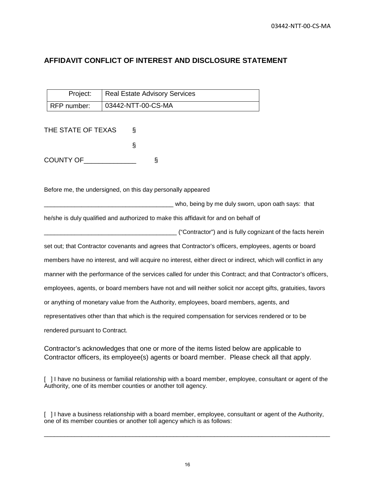## **AFFIDAVIT CONFLICT OF INTEREST AND DISCLOSURE STATEMENT**

| Project:      | Real Estate Advisory Services |
|---------------|-------------------------------|
| l RFP number: | 03442-NTT-00-CS-MA            |

THE STATE OF TEXAS § § COUNTY OF\_\_\_\_\_\_\_\_\_\_\_\_\_\_ §

Before me, the undersigned, on this day personally appeared

\_\_\_\_\_\_\_\_\_\_\_\_\_\_\_\_\_\_\_\_\_\_\_\_\_\_\_\_\_\_\_\_\_\_\_\_\_\_ who, being by me duly sworn, upon oath says: that he/she is duly qualified and authorized to make this affidavit for and on behalf of **Contractor**") and is fully cognizant of the facts herein set out; that Contractor covenants and agrees that Contractor's officers, employees, agents or board members have no interest, and will acquire no interest, either direct or indirect, which will conflict in any manner with the performance of the services called for under this Contract; and that Contractor's officers, employees, agents, or board members have not and will neither solicit nor accept gifts, gratuities, favors or anything of monetary value from the Authority, employees, board members, agents, and representatives other than that which is the required compensation for services rendered or to be rendered pursuant to Contract.

Contractor's acknowledges that one or more of the items listed below are applicable to Contractor officers, its employee(s) agents or board member. Please check all that apply.

[ ] I have no business or familial relationship with a board member, employee, consultant or agent of the Authority, one of its member counties or another toll agency.

[ ] I have a business relationship with a board member, employee, consultant or agent of the Authority, one of its member counties or another toll agency which is as follows:

\_\_\_\_\_\_\_\_\_\_\_\_\_\_\_\_\_\_\_\_\_\_\_\_\_\_\_\_\_\_\_\_\_\_\_\_\_\_\_\_\_\_\_\_\_\_\_\_\_\_\_\_\_\_\_\_\_\_\_\_\_\_\_\_\_\_\_\_\_\_\_\_\_\_\_\_\_\_\_\_\_\_\_\_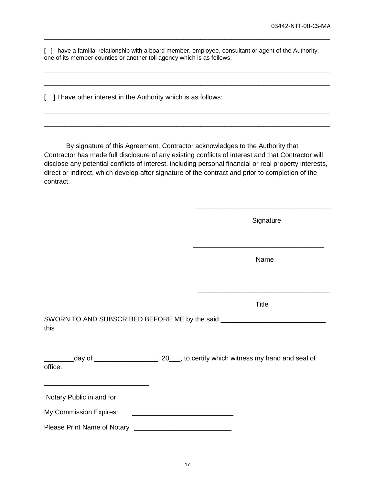[ ] I have a familial relationship with a board member, employee, consultant or agent of the Authority, one of its member counties or another toll agency which is as follows:

\_\_\_\_\_\_\_\_\_\_\_\_\_\_\_\_\_\_\_\_\_\_\_\_\_\_\_\_\_\_\_\_\_\_\_\_\_\_\_\_\_\_\_\_\_\_\_\_\_\_\_\_\_\_\_\_\_\_\_\_\_\_\_\_\_\_\_\_\_\_\_\_\_\_\_\_\_\_\_\_\_\_\_\_

\_\_\_\_\_\_\_\_\_\_\_\_\_\_\_\_\_\_\_\_\_\_\_\_\_\_\_\_\_\_\_\_\_\_\_\_\_\_\_\_\_\_\_\_\_\_\_\_\_\_\_\_\_\_\_\_\_\_\_\_\_\_\_\_\_\_\_\_\_\_\_\_\_\_\_\_\_\_\_\_\_\_\_\_

\_\_\_\_\_\_\_\_\_\_\_\_\_\_\_\_\_\_\_\_\_\_\_\_\_\_\_\_\_\_\_\_\_\_\_\_\_\_\_\_\_\_\_\_\_\_\_\_\_\_\_\_\_\_\_\_\_\_\_\_\_\_\_\_\_\_\_\_\_\_\_\_\_\_\_\_\_\_\_\_\_\_\_\_

\_\_\_\_\_\_\_\_\_\_\_\_\_\_\_\_\_\_\_\_\_\_\_\_\_\_\_\_\_\_\_\_\_\_\_\_\_\_\_\_\_\_\_\_\_\_\_\_\_\_\_\_\_\_\_\_\_\_\_\_\_\_\_\_\_\_\_\_\_\_\_\_\_\_\_\_\_\_\_\_\_\_\_\_

\_\_\_\_\_\_\_\_\_\_\_\_\_\_\_\_\_\_\_\_\_\_\_\_\_\_\_\_\_\_\_\_\_\_\_\_\_\_\_\_\_\_\_\_\_\_\_\_\_\_\_\_\_\_\_\_\_\_\_\_\_\_\_\_\_\_\_\_\_\_\_\_\_\_\_\_\_\_\_\_\_\_\_\_

[ ] I have other interest in the Authority which is as follows:

By signature of this Agreement, Contractor acknowledges to the Authority that Contractor has made full disclosure of any existing conflicts of interest and that Contractor will disclose any potential conflicts of interest, including personal financial or real property interests, direct or indirect, which develop after signature of the contract and prior to completion of the contract.

|                                                                                               | Signature    |
|-----------------------------------------------------------------------------------------------|--------------|
|                                                                                               | Name         |
|                                                                                               | <b>Title</b> |
| SWORN TO AND SUBSCRIBED BEFORE ME by the said __________________________________<br>this      |              |
| day of ______________________, 20___, to certify which witness my hand and seal of<br>office. |              |
| Notary Public in and for                                                                      |              |
| My Commission Expires:                                                                        |              |
|                                                                                               |              |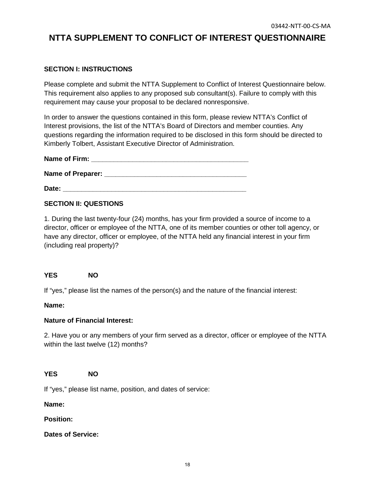# **NTTA SUPPLEMENT TO CONFLICT OF INTEREST QUESTIONNAIRE**

## **SECTION I: INSTRUCTIONS**

Please complete and submit the NTTA Supplement to Conflict of Interest Questionnaire below. This requirement also applies to any proposed sub consultant(s). Failure to comply with this requirement may cause your proposal to be declared nonresponsive.

In order to answer the questions contained in this form, please review NTTA's Conflict of Interest provisions, the list of the NTTA's Board of Directors and member counties. Any questions regarding the information required to be disclosed in this form should be directed to Kimberly Tolbert, Assistant Executive Director of Administration.

| Name of Firm: |  |  |
|---------------|--|--|
|               |  |  |

**Name of Preparer:**  $\blacksquare$ 

**Date: Date: Contract 2002** 

### **SECTION II: QUESTIONS**

1. During the last twenty-four (24) months, has your firm provided a source of income to a director, officer or employee of the NTTA, one of its member counties or other toll agency, or have any director, officer or employee, of the NTTA held any financial interest in your firm (including real property)?

#### **YES NO**

If "yes," please list the names of the person(s) and the nature of the financial interest:

#### **Name:**

#### **Nature of Financial Interest:**

2. Have you or any members of your firm served as a director, officer or employee of the NTTA within the last twelve (12) months?

#### **YES NO**

If "yes," please list name, position, and dates of service:

**Name:**

**Position:**

**Dates of Service:**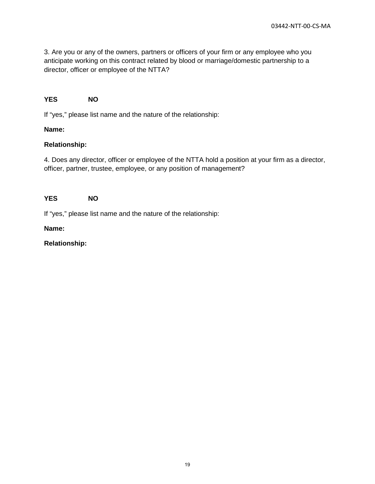3. Are you or any of the owners, partners or officers of your firm or any employee who you anticipate working on this contract related by blood or marriage/domestic partnership to a director, officer or employee of the NTTA?

#### **YES NO**

If "yes," please list name and the nature of the relationship:

#### **Name:**

#### **Relationship:**

4. Does any director, officer or employee of the NTTA hold a position at your firm as a director, officer, partner, trustee, employee, or any position of management?

#### **YES NO**

If "yes," please list name and the nature of the relationship:

#### **Name:**

#### **Relationship:**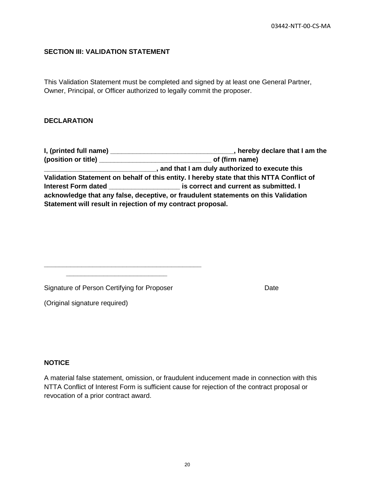#### **SECTION III: VALIDATION STATEMENT**

This Validation Statement must be completed and signed by at least one General Partner, Owner, Principal, or Officer authorized to legally commit the proposer.

#### **DECLARATION**

**I, (printed full name) \_\_\_\_\_\_\_\_\_\_\_\_\_\_\_\_\_\_\_\_\_\_\_\_\_\_\_\_\_\_\_\_\_, hereby declare that I am the (position or title) \_\_\_\_\_\_\_\_\_\_\_\_\_\_\_\_\_\_\_\_\_\_\_\_\_\_\_\_\_\_ of (firm name) \_\_\_\_\_\_\_\_\_\_\_\_\_\_\_\_\_\_\_\_\_\_\_\_\_\_\_\_\_\_, and that I am duly authorized to execute this Validation Statement on behalf of this entity. I hereby state that this NTTA Conflict of Interest Form dated \_\_\_\_\_\_\_\_\_\_\_\_\_\_\_\_\_\_\_ is correct and current as submitted. I acknowledge that any false, deceptive, or fraudulent statements on this Validation Statement will result in rejection of my contract proposal.**

Signature of Person Certifying for Proposer **Date** Date

**\_\_\_\_\_\_\_\_\_\_\_\_\_\_\_\_\_\_\_\_\_\_\_\_\_\_\_\_\_\_\_\_\_\_\_\_\_\_\_\_\_\_ \_\_\_\_\_\_\_\_\_\_\_\_\_\_\_\_\_\_\_\_\_\_\_\_\_\_\_**

(Original signature required)

#### **NOTICE**

A material false statement, omission, or fraudulent inducement made in connection with this NTTA Conflict of Interest Form is sufficient cause for rejection of the contract proposal or revocation of a prior contract award.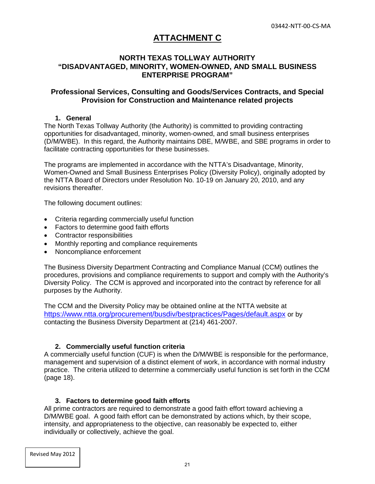## **ATTACHMENT C**

## **NORTH TEXAS TOLLWAY AUTHORITY "DISADVANTAGED, MINORITY, WOMEN-OWNED, AND SMALL BUSINESS ENTERPRISE PROGRAM"**

#### **Professional Services, Consulting and Goods/Services Contracts, and Special Provision for Construction and Maintenance related projects**

#### **1. General**

The North Texas Tollway Authority (the Authority) is committed to providing contracting opportunities for disadvantaged, minority, women-owned, and small business enterprises (D/M/WBE). In this regard, the Authority maintains DBE, M/WBE, and SBE programs in order to facilitate contracting opportunities for these businesses.

The programs are implemented in accordance with the NTTA's Disadvantage, Minority, Women-Owned and Small Business Enterprises Policy (Diversity Policy), originally adopted by the NTTA Board of Directors under Resolution No. 10-19 on January 20, 2010, and any revisions thereafter.

The following document outlines:

- Criteria regarding commercially useful function
- Factors to determine good faith efforts
- Contractor responsibilities
- Monthly reporting and compliance requirements
- Noncompliance enforcement

The Business Diversity Department Contracting and Compliance Manual (CCM) outlines the procedures, provisions and compliance requirements to support and comply with the Authority's Diversity Policy. The CCM is approved and incorporated into the contract by reference for all purposes by the Authority.

The CCM and the Diversity Policy may be obtained online at the NTTA website at <https://www.ntta.org/procurement/busdiv/bestpractices/Pages/default.aspx> or by contacting the Business Diversity Department at (214) 461-2007.

#### **2. Commercially useful function criteria**

A commercially useful function (CUF) is when the D/M/WBE is responsible for the performance, management and supervision of a distinct element of work, in accordance with normal industry practice. The criteria utilized to determine a commercially useful function is set forth in the CCM (page 18).

#### **3. Factors to determine good faith efforts**

All prime contractors are required to demonstrate a good faith effort toward achieving a D/M/WBE goal. A good faith effort can be demonstrated by actions which, by their scope, intensity, and appropriateness to the objective, can reasonably be expected to, either individually or collectively, achieve the goal.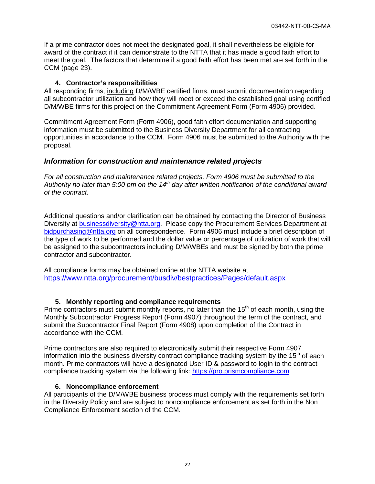If a prime contractor does not meet the designated goal, it shall nevertheless be eligible for award of the contract if it can demonstrate to the NTTA that it has made a good faith effort to meet the goal. The factors that determine if a good faith effort has been met are set forth in the CCM (page 23).

#### **4. Contractor's responsibilities**

All responding firms, including D/M/WBE certified firms, must submit documentation regarding all subcontractor utilization and how they will meet or exceed the established goal using certified D/M/WBE firms for this project on the Commitment Agreement Form (Form 4906) provided.

Commitment Agreement Form (Form 4906), good faith effort documentation and supporting information must be submitted to the Business Diversity Department for all contracting opportunities in accordance to the CCM. Form 4906 must be submitted to the Authority with the proposal.

### *Information for construction and maintenance related projects*

*For all construction and maintenance related projects, Form 4906 must be submitted to the Authority no later than 5:00 pm on the 14th day after written notification of the conditional award of the contract.* 

Additional questions and/or clarification can be obtained by contacting the Director of Business Diversity at [businessdiversity@ntta.org.](mailto:businessdiversity@ntta.org) Please copy the Procurement Services Department at [bidpurchasing@ntta.org](mailto:bidpurchasing@ntta.org) on all correspondence. Form 4906 must include a brief description of the type of work to be performed and the dollar value or percentage of utilization of work that will be assigned to the subcontractors including D/M/WBEs and must be signed by both the prime contractor and subcontractor.

All compliance forms may be obtained online at the NTTA website at <https://www.ntta.org/procurement/busdiv/bestpractices/Pages/default.aspx>

## **5. Monthly reporting and compliance requirements**

Prime contractors must submit monthly reports, no later than the  $15<sup>th</sup>$  of each month, using the Monthly Subcontractor Progress Report (Form 4907) throughout the term of the contract, and submit the Subcontractor Final Report (Form 4908) upon completion of the Contract in accordance with the CCM.

Prime contractors are also required to electronically submit their respective Form 4907 information into the business diversity contract compliance tracking system by the 15<sup>th</sup> of each month. Prime contractors will have a designated User ID & password to login to the contract compliance tracking system via the following link: [https://pro.prismcompliance.com](http://pro.prismcompliance.com/)

#### **6. Noncompliance enforcement**

All participants of the D/M/WBE business process must comply with the requirements set forth in the Diversity Policy and are subject to noncompliance enforcement as set forth in the Non Compliance Enforcement section of the CCM.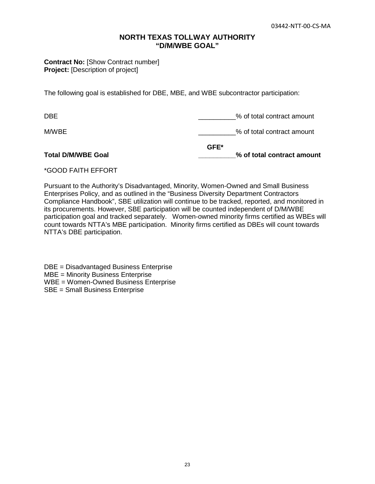#### **NORTH TEXAS TOLLWAY AUTHORITY "D/M/WBE GOAL"**

**Contract No: [Show Contract number] Project:** [Description of project]

The following goal is established for DBE, MBE, and WBE subcontractor participation:

| <b>Total D/M/WBE Goal</b> | $GFE^*$ | % of total contract amount |
|---------------------------|---------|----------------------------|
| M/WBE                     |         | % of total contract amount |
| <b>DBE</b>                |         | % of total contract amount |

#### \*GOOD FAITH EFFORT

Pursuant to the Authority's Disadvantaged, Minority, Women-Owned and Small Business Enterprises Policy, and as outlined in the "Business Diversity Department Contractors Compliance Handbook", SBE utilization will continue to be tracked, reported, and monitored in its procurements. However, SBE participation will be counted independent of D/M/WBE participation goal and tracked separately. Women-owned minority firms certified as WBEs will count towards NTTA's MBE participation. Minority firms certified as DBEs will count towards NTTA's DBE participation.

DBE = Disadvantaged Business Enterprise MBE = Minority Business Enterprise WBE = Women-Owned Business Enterprise SBE = Small Business Enterprise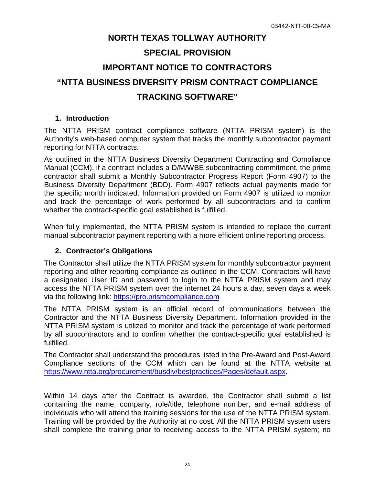# **NORTH TEXAS TOLLWAY AUTHORITY SPECIAL PROVISION IMPORTANT NOTICE TO CONTRACTORS "NTTA BUSINESS DIVERSITY PRISM CONTRACT COMPLIANCE TRACKING SOFTWARE"**

#### **1. Introduction**

The NTTA PRISM contract compliance software (NTTA PRISM system) is the Authority's web-based computer system that tracks the monthly subcontractor payment reporting for NTTA contracts.

As outlined in the NTTA Business Diversity Department Contracting and Compliance Manual (CCM), if a contract includes a D/M/WBE subcontracting commitment, the prime contractor shall submit a Monthly Subcontractor Progress Report (Form 4907) to the Business Diversity Department (BDD). Form 4907 reflects actual payments made for the specific month indicated. Information provided on Form 4907 is utilized to monitor and track the percentage of work performed by all subcontractors and to confirm whether the contract-specific goal established is fulfilled.

When fully implemented, the NTTA PRISM system is intended to replace the current manual subcontractor payment reporting with a more efficient online reporting process.

## **2. Contractor's Obligations**

The Contractor shall utilize the NTTA PRISM system for monthly subcontractor payment reporting and other reporting compliance as outlined in the CCM. Contractors will have a designated User ID and password to login to the NTTA PRISM system and may access the NTTA PRISM system over the internet 24 hours a day, seven days a week via the following link: [https://pro.prismcompliance.com](https://pro.prismcompliance.com/)

The NTTA PRISM system is an official record of communications between the Contractor and the NTTA Business Diversity Department. Information provided in the NTTA PRISM system is utilized to monitor and track the percentage of work performed by all subcontractors and to confirm whether the contract-specific goal established is fulfilled.

The Contractor shall understand the procedures listed in the Pre-Award and Post-Award Compliance sections of the CCM which can be found at the NTTA website at [https://www.ntta.org/procurement/busdiv/bestpractices/Pages/default.aspx.](https://www.ntta.org/procurement/busdiv/bestpractices/Pages/default.aspx)

Within 14 days after the Contract is awarded, the Contractor shall submit a list containing the name, company, role/title, telephone number, and e-mail address of individuals who will attend the training sessions for the use of the NTTA PRISM system. Training will be provided by the Authority at no cost. All the NTTA PRISM system users shall complete the training prior to receiving access to the NTTA PRISM system; no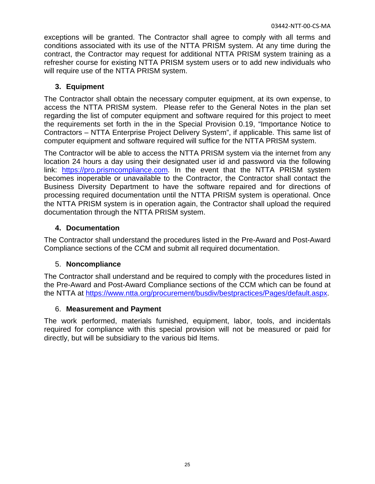exceptions will be granted. The Contractor shall agree to comply with all terms and conditions associated with its use of the NTTA PRISM system. At any time during the contract, the Contractor may request for additional NTTA PRISM system training as a refresher course for existing NTTA PRISM system users or to add new individuals who will require use of the NTTA PRISM system.

## **3. Equipment**

The Contractor shall obtain the necessary computer equipment, at its own expense, to access the NTTA PRISM system. Please refer to the General Notes in the plan set regarding the list of computer equipment and software required for this project to meet the requirements set forth in the in the Special Provision 0.19, "Importance Notice to Contractors – NTTA Enterprise Project Delivery System", if applicable. This same list of computer equipment and software required will suffice for the NTTA PRISM system.

The Contractor will be able to access the NTTA PRISM system via the internet from any location 24 hours a day using their designated user id and password via the following link: [https://pro.prismcompliance.com.](https://pro.prismcompliance.com/) In the event that the NTTA PRISM system becomes inoperable or unavailable to the Contractor, the Contractor shall contact the Business Diversity Department to have the software repaired and for directions of processing required documentation until the NTTA PRISM system is operational. Once the NTTA PRISM system is in operation again, the Contractor shall upload the required documentation through the NTTA PRISM system.

## **4. Documentation**

The Contractor shall understand the procedures listed in the Pre-Award and Post-Award Compliance sections of the CCM and submit all required documentation.

## 5. **Noncompliance**

The Contractor shall understand and be required to comply with the procedures listed in the Pre-Award and Post-Award Compliance sections of the CCM which can be found at the NTTA at [https://www.ntta.org/procurement/busdiv/bestpractices/Pages/default.aspx.](https://www.ntta.org/procurement/busdiv/bestpractices/Pages/default.aspx)

## 6. **Measurement and Payment**

The work performed, materials furnished, equipment, labor, tools, and incidentals required for compliance with this special provision will not be measured or paid for directly, but will be subsidiary to the various bid Items.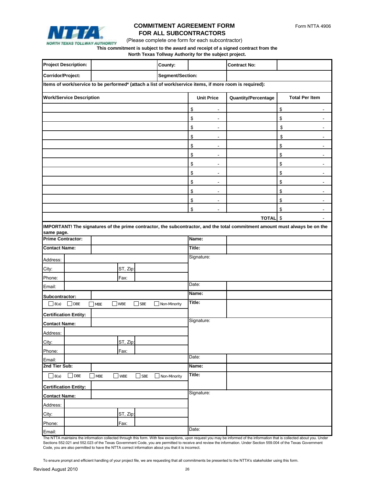

## **COMMITMENT AGREEMENT FORM FOR ALL SUBCONTRACTORS**

(Please complete one form for each subcontractor)

#### **This commitment is subject to the award and receipt of a signed contract from the**

**North Texas Tollway Authority for the subject project.**

|                               | <b>Project Description:</b>                                                                             |               |            |            | <b>County:</b>          |                                | <b>Contract No:</b>        |                                                                                                                             |
|-------------------------------|---------------------------------------------------------------------------------------------------------|---------------|------------|------------|-------------------------|--------------------------------|----------------------------|-----------------------------------------------------------------------------------------------------------------------------|
| Corridor/Project:             |                                                                                                         |               |            |            | <b>Segment/Section:</b> |                                |                            |                                                                                                                             |
|                               | Items of work/service to be performed* (attach a list of work/service items, if more room is required): |               |            |            |                         |                                |                            |                                                                                                                             |
|                               | <b>Work/Service Description</b>                                                                         |               |            |            |                         | <b>Unit Price</b>              | <b>Quantity/Percentage</b> | <b>Total Per Item</b>                                                                                                       |
|                               |                                                                                                         |               |            |            |                         |                                |                            |                                                                                                                             |
|                               |                                                                                                         |               |            |            |                         | \$                             |                            | \$                                                                                                                          |
|                               |                                                                                                         |               |            |            |                         | \$                             |                            | \$                                                                                                                          |
|                               |                                                                                                         |               |            |            |                         | \$                             |                            | \$                                                                                                                          |
|                               |                                                                                                         |               |            |            |                         | \$<br>$\overline{\phantom{a}}$ |                            | \$<br>$\overline{\phantom{a}}$                                                                                              |
|                               |                                                                                                         |               |            |            |                         | \$                             |                            | \$                                                                                                                          |
|                               |                                                                                                         |               |            |            |                         | \$<br>$\overline{\phantom{a}}$ |                            | \$<br>$\overline{\phantom{a}}$                                                                                              |
|                               |                                                                                                         |               |            |            |                         | \$<br>$\overline{\phantom{a}}$ |                            | \$<br>$\overline{\phantom{a}}$                                                                                              |
|                               |                                                                                                         |               |            |            |                         | \$<br>$\blacksquare$           |                            | \$<br>$\overline{\phantom{a}}$                                                                                              |
|                               |                                                                                                         |               |            |            |                         | \$                             |                            | \$                                                                                                                          |
|                               |                                                                                                         |               |            |            |                         | \$                             |                            | \$                                                                                                                          |
|                               |                                                                                                         |               |            |            |                         | \$<br>$\overline{\phantom{a}}$ |                            | \$                                                                                                                          |
|                               |                                                                                                         |               |            |            |                         | \$                             |                            | \$                                                                                                                          |
|                               |                                                                                                         |               |            |            |                         |                                | TOTAL \$                   |                                                                                                                             |
| same page.                    |                                                                                                         |               |            |            |                         |                                |                            | IMPORTANT! The signatures of the prime contractor, the subcontractor, and the total commitment amount must always be on the |
| <b>Prime Contractor:</b>      |                                                                                                         |               |            |            |                         | Name:                          |                            |                                                                                                                             |
| <b>Contact Name:</b>          |                                                                                                         |               |            |            |                         | Title:                         |                            |                                                                                                                             |
| Address:                      |                                                                                                         |               |            |            |                         | Signature:                     |                            |                                                                                                                             |
| City:                         |                                                                                                         |               |            |            |                         |                                |                            |                                                                                                                             |
| Phone:                        |                                                                                                         |               | ST, Zip:   |            |                         |                                |                            |                                                                                                                             |
| Email:                        |                                                                                                         |               | Fax:       |            |                         | Date:                          |                            |                                                                                                                             |
|                               |                                                                                                         |               |            |            |                         | Name:                          |                            |                                                                                                                             |
| Subcontractor:<br>$\Box$ 8(a) | $\sqrt{\mathsf{DBE}}$                                                                                   |               | $\Box$ WBE | $\Box$ SBE | Non-Minority            | Title:                         |                            |                                                                                                                             |
|                               |                                                                                                         | $\exists$ MBE |            |            |                         |                                |                            |                                                                                                                             |
|                               | <b>Certification Entity:</b>                                                                            |               |            |            |                         | Signature:                     |                            |                                                                                                                             |
| <b>Contact Name:</b>          |                                                                                                         |               |            |            |                         |                                |                            |                                                                                                                             |
| Address:                      |                                                                                                         |               |            |            |                         |                                |                            |                                                                                                                             |
| City:                         |                                                                                                         |               | ST, Zip:   |            |                         |                                |                            |                                                                                                                             |
| Phone:                        |                                                                                                         |               | Fax:       |            |                         |                                |                            |                                                                                                                             |
| Email:                        |                                                                                                         |               |            |            |                         | Date:                          |                            |                                                                                                                             |
| 2nd Tier Sub:                 |                                                                                                         |               |            |            |                         | Name:                          |                            |                                                                                                                             |
| $\Box$ 8(a)                   | $\Box$ DBE                                                                                              | $\Box$ MBE    | wbe ]      | $\Box$ SBE | Non-Minority            | Title:                         |                            |                                                                                                                             |
| <b>Certification Entity:</b>  |                                                                                                         |               | Signature: |            |                         |                                |                            |                                                                                                                             |
| <b>Contact Name:</b>          |                                                                                                         |               |            |            |                         |                                |                            |                                                                                                                             |
| Address:                      |                                                                                                         |               |            |            |                         |                                |                            |                                                                                                                             |
| City:                         |                                                                                                         |               | ST, Zip:   |            |                         |                                |                            |                                                                                                                             |
| Phone:                        |                                                                                                         |               | Fax:       |            |                         |                                |                            |                                                                                                                             |
| Email:                        |                                                                                                         |               |            |            |                         | Date:                          |                            |                                                                                                                             |

The NTTA maintains the information collected through this form. With few exceptions, upon request you may be informed of the information that is collected about you. Under Sections 552.021 and 552.023 of the Texas Government Code, you are permitted to receive and review the information. Under Section 559.004 of the Texas Government Code, you are also permitted to have the NTTA correct information about you that it is incorrect.

To ensure prompt and efficient handling of your project file, we are requesting that all commitments be presented to the NTTA's stakeholder using this form.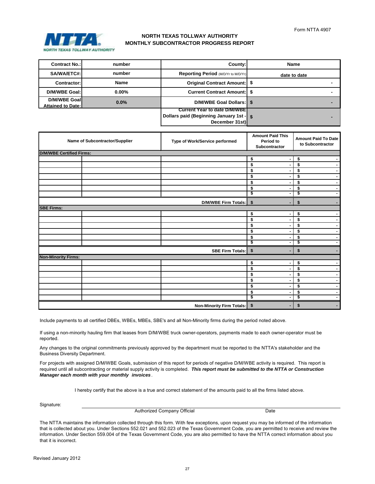

## **NORTH TEXAS TOLLWAY AUTHORITY MONTHLY SUBCONTRACTOR PROGRESS REPORT**

| <b>Contract No.:</b>                     | number      | County:                                                                                                     | <b>Name</b>  |
|------------------------------------------|-------------|-------------------------------------------------------------------------------------------------------------|--------------|
| SA/WA/ETC#:                              | number      | <b>Reporting Period (M/D/Yr to M/D/Yr)</b>                                                                  | date to date |
| <b>Contractor:</b>                       | <b>Name</b> | Original Contract Amount:   \$                                                                              |              |
| D/M/WBE Goal:                            | $0.00\%$    | <b>Current Contract Amount: S</b>                                                                           |              |
| D/M/WBE Goal<br><b>Attained to Date:</b> | 0.0%        | D/M/WBE Goal Dollars: \ \ \$                                                                                |              |
|                                          |             | <b>Current Year to date D/M/WBET</b><br><b>Dollars paid (Beginning January 1st -   \$</b><br>December 31st) |              |

| <b>Name of Subcontractor/Supplier</b> | Type of Work/Service performed   | <b>Amount Paid This</b><br>Period to<br>Subcontractor | <b>Amount Paid To Date</b><br>to Subcontractor |
|---------------------------------------|----------------------------------|-------------------------------------------------------|------------------------------------------------|
| <b>D/M/WBE Certified Firms:</b>       |                                  |                                                       |                                                |
|                                       |                                  | \$                                                    | \$<br>$\overline{\phantom{0}}$                 |
|                                       |                                  | \$<br>۰.                                              | \$<br>$\blacksquare$                           |
|                                       |                                  | \$<br>۰                                               | \$<br>$\blacksquare$                           |
|                                       |                                  | \$                                                    | \$<br>$\blacksquare$                           |
|                                       |                                  | \$<br>$\blacksquare$                                  | \$<br>$\blacksquare$                           |
|                                       |                                  | \$<br>$\blacksquare$                                  | \$<br>$\blacksquare$                           |
|                                       |                                  | \$<br>۰                                               | \$<br>$\blacksquare$                           |
|                                       | D/M/WBE Firm Totals:             | \$<br>۰.                                              | \$<br>۰.                                       |
| <b>SBE Firms:</b>                     |                                  |                                                       |                                                |
|                                       |                                  | \$<br>Ξ.                                              | \$<br>$\blacksquare$                           |
|                                       |                                  | \$                                                    | \$<br>$\blacksquare$                           |
|                                       |                                  | \$                                                    | \$<br>$\blacksquare$                           |
|                                       |                                  | \$<br>$\blacksquare$                                  | \$<br>$\blacksquare$                           |
|                                       |                                  | \$<br>۰.                                              | \$<br>$\sim$                                   |
|                                       |                                  | \$<br>۰                                               | \$<br>$\blacksquare$                           |
|                                       | <b>SBE Firm Totals:</b>          | \$<br>۰.                                              | \$<br>٠                                        |
| <b>Non-Minority Firms:</b>            |                                  |                                                       |                                                |
|                                       |                                  | \$                                                    | \$<br>$\blacksquare$                           |
|                                       |                                  | \$<br>٠.                                              | \$<br>$\blacksquare$                           |
|                                       |                                  | \$                                                    | \$<br>$\blacksquare$                           |
|                                       |                                  | \$<br>$\blacksquare$                                  | \$<br>$\blacksquare$                           |
|                                       |                                  | \$                                                    | \$<br>$\sim$                                   |
|                                       |                                  | \$<br>۰.                                              | \$<br>$\sim$                                   |
|                                       |                                  | \$<br>$\blacksquare$                                  | \$<br>۰.                                       |
|                                       | <b>Non-Minority Firm Totals:</b> | \$                                                    | \$                                             |

Include payments to all certified DBEs, WBEs, MBEs, SBE's and all Non-Minority firms during the period noted above.

If using a non-minority hauling firm that leases from D/M/WBE truck owner-operators, payments made to each owner-operator must be reported.

Any changes to the original commitments previously approved by the department must be reported to the NTTA's stakeholder and the Business Diversity Department.

For projects with assigned D/M/WBE Goals, submission of this report for periods of negative D/M/WBE activity is required. This report is required until all subcontracting or material supply activity is completed. *This report must be submitted to the NTTA or Construction Manager each month with your monthly invoices .*

I hereby certify that the above is a true and correct statement of the amounts paid to all the firms listed above.

Signature:

Authorized Company Official

Date

The NTTA maintains the information collected through this form. With few exceptions, upon request you may be informed of the information that is collected about you. Under Sections 552.021 and 552.023 of the Texas Government Code, you are permitted to receive and review the information. Under Section 559.004 of the Texas Government Code, you are also permitted to have the NTTA correct information about you that it is incorrect.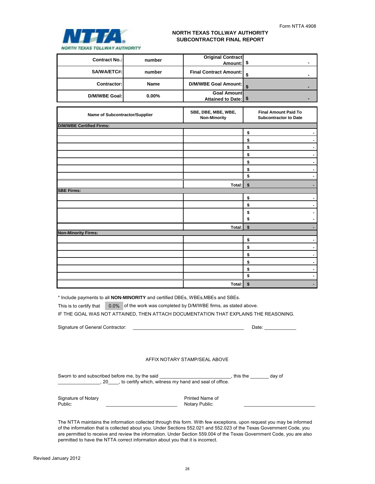

## **NORTH TEXAS TOLLWAY AUTHORITY SUBCONTRACTOR FINAL REPORT**

| <b>Contract No.:</b> | number      | <b>Original Contract</b><br>Amount: \$ |  |
|----------------------|-------------|----------------------------------------|--|
| SA/WA/ETC#:          | number      | <b>Final Contract Amount:</b>          |  |
| Contractor:          | <b>Name</b> | D/M/WBE Goal Amount:                   |  |
| D/M/WBE Goal:        | $0.00\%$    | <b>Goal Amount</b>                     |  |

| Name of Subcontractor/Supplier  | SBE, DBE, MBE, WBE,<br><b>Non-Minority</b> | <b>Final Amount Paid To</b><br><b>Subcontractor to Date</b> |
|---------------------------------|--------------------------------------------|-------------------------------------------------------------|
| <b>D/M/WBE Certified Firms:</b> |                                            |                                                             |
|                                 |                                            | \$                                                          |
|                                 |                                            | \$                                                          |
|                                 |                                            | \$                                                          |
|                                 |                                            | \$                                                          |
|                                 |                                            | \$                                                          |
|                                 |                                            | \$                                                          |
|                                 |                                            | \$                                                          |
|                                 | Total:                                     | \$                                                          |
| <b>SBE Firms:</b>               |                                            |                                                             |
|                                 |                                            | \$                                                          |
|                                 |                                            | \$                                                          |
|                                 |                                            | \$                                                          |
|                                 |                                            | \$                                                          |
|                                 | Total:                                     | \$                                                          |
| <b>Non-Minority Firms:</b>      |                                            |                                                             |
|                                 |                                            | \$                                                          |
|                                 |                                            | \$                                                          |
|                                 |                                            | \$                                                          |
|                                 |                                            | \$                                                          |
|                                 |                                            | \$                                                          |
|                                 |                                            | \$                                                          |
|                                 | Total:                                     | \$                                                          |

\* Include payments to all **NON-MINORITY** and certified DBEs, WBEs,MBEs and SBEs.

This is to certify that 0.0% of the work was completed by D/M/WBE firms, as stated above.

IF THE GOAL WAS NOT ATTAINED, THEN ATTACH DOCUMENTATION THAT EXPLAINS THE REASONING.

Signature of General Contractor: \_\_\_\_\_\_\_\_\_\_\_\_\_\_\_\_\_\_\_\_\_\_\_\_\_\_\_\_\_\_\_\_\_\_\_\_\_\_\_\_\_\_ Date: \_\_\_\_\_\_\_\_\_\_\_\_

#### AFFIX NOTARY STAMP/SEAL ABOVE

| Sworn to and subscribed before me, by the said          | this the | dav of |  |
|---------------------------------------------------------|----------|--------|--|
| , to certify which, witness my hand and seal of office. |          |        |  |

| <b>Signature of Notary</b> |  |
|----------------------------|--|
| Public:                    |  |

Printed Name of Notary Public:

The NTTA maintains the information collected through this form. With few exceptions, upon request you may be informed of the information that is collected about you. Under Sections 552.021 and 552.023 of the Texas Government Code, you are permitted to receive and review the information. Under Section 559.004 of the Texas Government Code, you are also permitted to have the NTTA correct information about you that it is incorrect.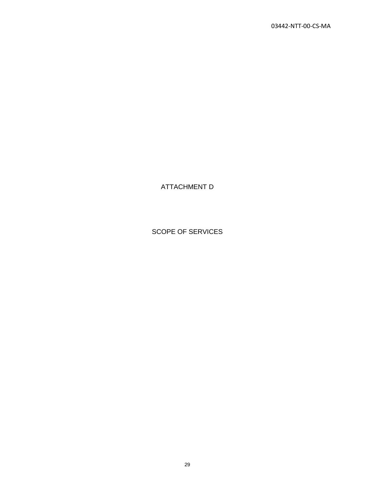ATTACHMENT D

SCOPE OF SERVICES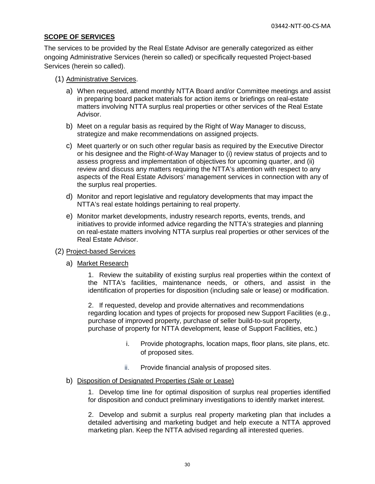#### **SCOPE OF SERVICES**

The services to be provided by the Real Estate Advisor are generally categorized as either ongoing Administrative Services (herein so called) or specifically requested Project-based Services (herein so called).

#### (1) Administrative Services.

- a) When requested, attend monthly NTTA Board and/or Committee meetings and assist in preparing board packet materials for action items or briefings on real-estate matters involving NTTA surplus real properties or other services of the Real Estate Advisor.
- b) Meet on a regular basis as required by the Right of Way Manager to discuss, strategize and make recommendations on assigned projects.
- c) Meet quarterly or on such other regular basis as required by the Executive Director or his designee and the Right-of-Way Manager to (i) review status of projects and to assess progress and implementation of objectives for upcoming quarter, and (ii) review and discuss any matters requiring the NTTA's attention with respect to any aspects of the Real Estate Advisors' management services in connection with any of the surplus real properties.
- d) Monitor and report legislative and regulatory developments that may impact the NTTA's real estate holdings pertaining to real property.
- e) Monitor market developments, industry research reports, events, trends, and initiatives to provide informed advice regarding the NTTA's strategies and planning on real-estate matters involving NTTA surplus real properties or other services of the Real Estate Advisor.
- (2) Project-based Services
	- a) Market Research

1. Review the suitability of existing surplus real properties within the context of the NTTA's facilities, maintenance needs, or others, and assist in the identification of properties for disposition (including sale or lease) or modification.

2. If requested, develop and provide alternatives and recommendations regarding location and types of projects for proposed new Support Facilities (e.g., purchase of improved property, purchase of seller build-to-suit property, purchase of property for NTTA development, lease of Support Facilities, etc.)

- i. Provide photographs, location maps, floor plans, site plans, etc. of proposed sites.
- ii. Provide financial analysis of proposed sites.

#### b) Disposition of Designated Properties (Sale or Lease)

1. Develop time line for optimal disposition of surplus real properties identified for disposition and conduct preliminary investigations to identify market interest.

2. Develop and submit a surplus real property marketing plan that includes a detailed advertising and marketing budget and help execute a NTTA approved marketing plan. Keep the NTTA advised regarding all interested queries.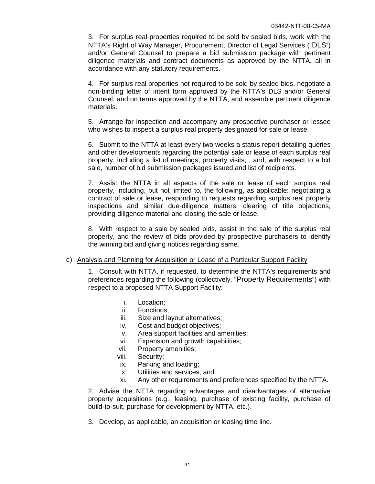3. For surplus real properties required to be sold by sealed bids, work with the NTTA's Right of Way Manager, Procurement, Director of Legal Services ("DLS") and/or General Counsel to prepare a bid submission package with pertinent diligence materials and contract documents as approved by the NTTA, all in accordance with any statutory requirements.

4. For surplus real properties not required to be sold by sealed bids, negotiate a non-binding letter of intent form approved by the NTTA's DLS and/or General Counsel, and on terms approved by the NTTA, and assemble pertinent diligence materials.

5. Arrange for inspection and accompany any prospective purchaser or lessee who wishes to inspect a surplus real property designated for sale or lease.

6. Submit to the NTTA at least every two weeks a status report detailing queries and other developments regarding the potential sale or lease of each surplus real property, including a list of meetings, property visits, , and, with respect to a bid sale, number of bid submission packages issued and list of recipients.

7. Assist the NTTA in all aspects of the sale or lease of each surplus real property, including, but not limited to, the following, as applicable: negotiating a contract of sale or lease, responding to requests regarding surplus real property inspections and similar due-diligence matters, clearing of title objections, providing diligence material and closing the sale or lease.

8. With respect to a sale by sealed bids, assist in the sale of the surplus real property, and the review of bids provided by prospective purchasers to identify the winning bid and giving notices regarding same.

#### c) Analysis and Planning for Acquisition or Lease of a Particular Support Facility

1. Consult with NTTA, if requested, to determine the NTTA's requirements and preferences regarding the following (collectively, "Property Requirements") with respect to a proposed NTTA Support Facility:

- i. Location;
- ii. Functions;
- iii. Size and layout alternatives;
- iv. Cost and budget objectives;
- v. Area support facilities and amenities;
- vi. Expansion and growth capabilities;
- vii. Property amenities;
- viii. Security;
- ix. Parking and loading;
- x. Utilities and services; and
- xi. Any other requirements and preferences specified by the NTTA.

2. Advise the NTTA regarding advantages and disadvantages of alternative property acquisitions (e.g., leasing, purchase of existing facility, purchase of build-to-suit, purchase for development by NTTA, etc.).

3. Develop, as applicable, an acquisition or leasing time line.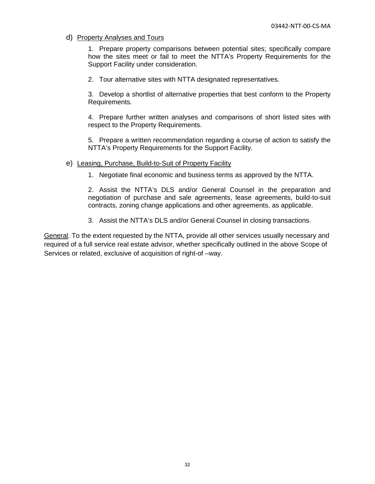d) Property Analyses and Tours

1. Prepare property comparisons between potential sites; specifically compare how the sites meet or fail to meet the NTTA's Property Requirements for the Support Facility under consideration.

2. Tour alternative sites with NTTA designated representatives.

3. Develop a shortlist of alternative properties that best conform to the Property Requirements.

4. Prepare further written analyses and comparisons of short listed sites with respect to the Property Requirements.

5. Prepare a written recommendation regarding a course of action to satisfy the NTTA's Property Requirements for the Support Facility.

#### e) Leasing, Purchase, Build-to-Suit of Property Facility

1. Negotiate final economic and business terms as approved by the NTTA.

2. Assist the NTTA's DLS and/or General Counsel in the preparation and negotiation of purchase and sale agreements, lease agreements, build-to-suit contracts, zoning change applications and other agreements, as applicable.

3. Assist the NTTA's DLS and/or General Counsel in closing transactions.

General. To the extent requested by the NTTA, provide all other services usually necessary and required of a full service real estate advisor, whether specifically outlined in the above Scope of Services or related, exclusive of acquisition of right-of –way.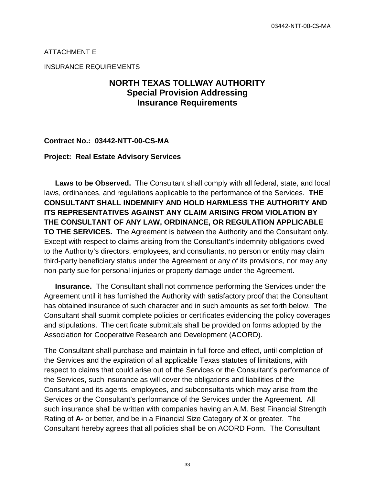#### ATTACHMENT E

INSURANCE REQUIREMENTS

## **NORTH TEXAS TOLLWAY AUTHORITY Special Provision Addressing Insurance Requirements**

#### **Contract No.: 03442-NTT-00-CS-MA**

#### **Project: Real Estate Advisory Services**

**Laws to be Observed.** The Consultant shall comply with all federal, state, and local laws, ordinances, and regulations applicable to the performance of the Services. **THE CONSULTANT SHALL INDEMNIFY AND HOLD HARMLESS THE AUTHORITY AND ITS REPRESENTATIVES AGAINST ANY CLAIM ARISING FROM VIOLATION BY THE CONSULTANT OF ANY LAW, ORDINANCE, OR REGULATION APPLICABLE TO THE SERVICES.** The Agreement is between the Authority and the Consultant only. Except with respect to claims arising from the Consultant's indemnity obligations owed to the Authority's directors, employees, and consultants, no person or entity may claim third-party beneficiary status under the Agreement or any of its provisions, nor may any non-party sue for personal injuries or property damage under the Agreement.

**Insurance.** The Consultant shall not commence performing the Services under the Agreement until it has furnished the Authority with satisfactory proof that the Consultant has obtained insurance of such character and in such amounts as set forth below. The Consultant shall submit complete policies or certificates evidencing the policy coverages and stipulations. The certificate submittals shall be provided on forms adopted by the Association for Cooperative Research and Development (ACORD).

The Consultant shall purchase and maintain in full force and effect, until completion of the Services and the expiration of all applicable Texas statutes of limitations, with respect to claims that could arise out of the Services or the Consultant's performance of the Services, such insurance as will cover the obligations and liabilities of the Consultant and its agents, employees, and subconsultants which may arise from the Services or the Consultant's performance of the Services under the Agreement. All such insurance shall be written with companies having an A.M. Best Financial Strength Rating of **A-** or better, and be in a Financial Size Category of **X** or greater. The Consultant hereby agrees that all policies shall be on ACORD Form. The Consultant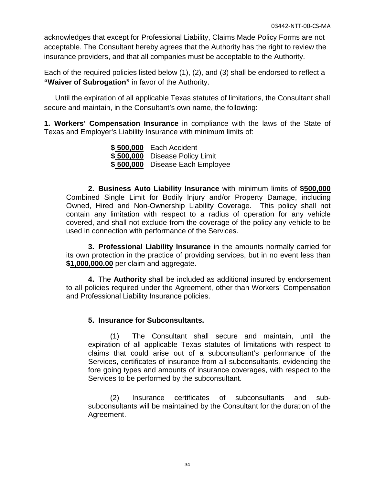acknowledges that except for Professional Liability, Claims Made Policy Forms are not acceptable. The Consultant hereby agrees that the Authority has the right to review the insurance providers, and that all companies must be acceptable to the Authority.

Each of the required policies listed below (1), (2), and (3) shall be endorsed to reflect a **"Waiver of Subrogation"** in favor of the Authority.

Until the expiration of all applicable Texas statutes of limitations, the Consultant shall secure and maintain, in the Consultant's own name, the following:

**1. Workers' Compensation Insurance** in compliance with the laws of the State of Texas and Employer's Liability Insurance with minimum limits of:

> **\$ 500,000** Each Accident **\$ 500,000** Disease Policy Limit **\$ 500,000** Disease Each Employee

**2. Business Auto Liability lnsurance** with minimum limits of **\$500,000** Combined Single Limit for Bodily lnjury and/or Property Damage, including Owned, Hired and Non-Ownership Liability Coverage. This policy shall not contain any limitation with respect to a radius of operation for any vehicle covered, and shall not exclude from the coverage of the policy any vehicle to be used in connection with performance of the Services.

**3. Professional Liability lnsurance** in the amounts normally carried for its own protection in the practice of providing services, but in no event less than **\$1,000,000.00** per claim and aggregate.

**4.** The **Authority** shall be included as additional insured by endorsement to all policies required under the Agreement, other than Workers' Compensation and Professional Liability Insurance policies.

## **5. Insurance for Subconsultants.**

(1) The Consultant shall secure and maintain, until the expiration of all applicable Texas statutes of limitations with respect to claims that could arise out of a subconsultant's performance of the Services, certificates of insurance from all subconsultants, evidencing the fore going types and amounts of insurance coverages, with respect to the Services to be performed by the subconsultant.

(2) Insurance certificates of subconsultants and subsubconsultants will be maintained by the Consultant for the duration of the Agreement.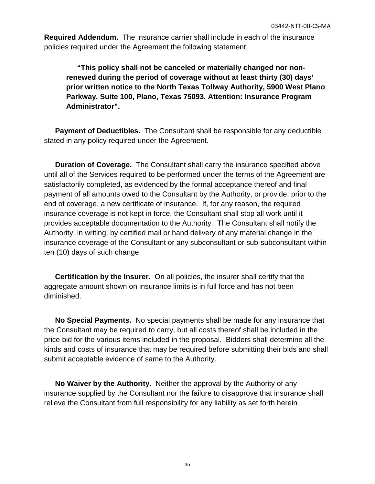**Required Addendum.** The insurance carrier shall include in each of the insurance policies required under the Agreement the following statement:

**"This policy shall not be canceled or materially changed nor nonrenewed during the period of coverage without at least thirty (30) days' prior written notice to the North Texas Tollway Authority, 5900 West Plano Parkway, Suite 100, Plano, Texas 75093, Attention: Insurance Program Administrator".**

**Payment of Deductibles.** The Consultant shall be responsible for any deductible stated in any policy required under the Agreement.

**Duration of Coverage.** The Consultant shall carry the insurance specified above until all of the Services required to be performed under the terms of the Agreement are satisfactorily completed, as evidenced by the formal acceptance thereof and final payment of all amounts owed to the Consultant by the Authority, or provide, prior to the end of coverage, a new certificate of insurance. If, for any reason, the required insurance coverage is not kept in force, the Consultant shall stop all work until it provides acceptable documentation to the Authority. The Consultant shall notify the Authority, in writing, by certified mail or hand delivery of any material change in the insurance coverage of the Consultant or any subconsultant or sub-subconsultant within ten (10) days of such change.

**Certification by the Insurer.** On all policies, the insurer shall certify that the aggregate amount shown on insurance limits is in full force and has not been diminished.

**No Special Payments.** No special payments shall be made for any insurance that the Consultant may be required to carry, but all costs thereof shall be included in the price bid for the various items included in the proposal. Bidders shall determine all the kinds and costs of insurance that may be required before submitting their bids and shall submit acceptable evidence of same to the Authority.

**No Waiver by the Authority**. Neither the approval by the Authority of any insurance supplied by the Consultant nor the failure to disapprove that insurance shall relieve the Consultant from full responsibility for any liability as set forth herein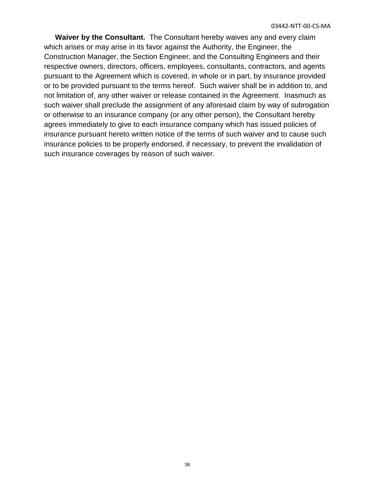**Waiver by the Consultant.** The Consultant hereby waives any and every claim which arises or may arise in its favor against the Authority, the Engineer, the Construction Manager, the Section Engineer, and the Consulting Engineers and their respective owners, directors, officers, employees, consultants, contractors, and agents pursuant to the Agreement which is covered, in whole or in part, by insurance provided or to be provided pursuant to the terms hereof. Such waiver shall be in addition to, and not limitation of, any other waiver or release contained in the Agreement. Inasmuch as such waiver shall preclude the assignment of any aforesaid claim by way of subrogation or otherwise to an insurance company (or any other person), the Consultant hereby agrees immediately to give to each insurance company which has issued policies of insurance pursuant hereto written notice of the terms of such waiver and to cause such insurance policies to be properly endorsed, if necessary, to prevent the invalidation of such insurance coverages by reason of such waiver.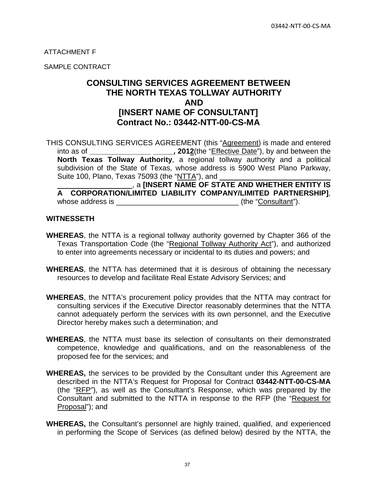ATTACHMENT F

SAMPLE CONTRACT

## **CONSULTING SERVICES AGREEMENT BETWEEN THE NORTH TEXAS TOLLWAY AUTHORITY AND [INSERT NAME OF CONSULTANT] Contract No.: 03442-NTT-00-CS-MA**

THIS CONSULTING SERVICES AGREEMENT (this "Agreement) is made and entered into as of **\_\_\_\_\_\_\_\_\_\_\_\_\_\_\_ \_\_\_\_\_, 2012**(the "Effective Date"), by and between the **North Texas Tollway Authority**, a regional tollway authority and a political subdivision of the State of Texas, whose address is 5900 West Plano Parkway, Suite 100, Plano, Texas 75093 (the "NTTA"), and

 , a **[INSERT NAME OF STATE AND WHETHER ENTITY IS A CORPORATION/LIMITED LIABILITY COMPANY/LIMITED PARTNERSHIP]**, whose address is \_\_\_\_\_\_\_\_\_\_\_\_\_\_\_\_\_\_\_\_\_\_\_\_\_\_\_\_\_\_ (the "Consultant").

#### **WITNESSETH**

- **WHEREAS**, the NTTA is a regional tollway authority governed by Chapter 366 of the Texas Transportation Code (the "Regional Tollway Authority Act"), and authorized to enter into agreements necessary or incidental to its duties and powers; and
- **WHEREAS**, the NTTA has determined that it is desirous of obtaining the necessary resources to develop and facilitate Real Estate Advisory Services; and
- **WHEREAS**, the NTTA's procurement policy provides that the NTTA may contract for consulting services if the Executive Director reasonably determines that the NTTA cannot adequately perform the services with its own personnel, and the Executive Director hereby makes such a determination; and
- **WHEREAS**, the NTTA must base its selection of consultants on their demonstrated competence, knowledge and qualifications, and on the reasonableness of the proposed fee for the services; and
- **WHEREAS,** the services to be provided by the Consultant under this Agreement are described in the NTTA's Request for Proposal for Contract **03442-NTT-00-CS-MA**  (the "RFP"), as well as the Consultant's Response, which was prepared by the Consultant and submitted to the NTTA in response to the RFP (the "Request for Proposal"); and
- **WHEREAS,** the Consultant's personnel are highly trained, qualified, and experienced in performing the Scope of Services (as defined below) desired by the NTTA, the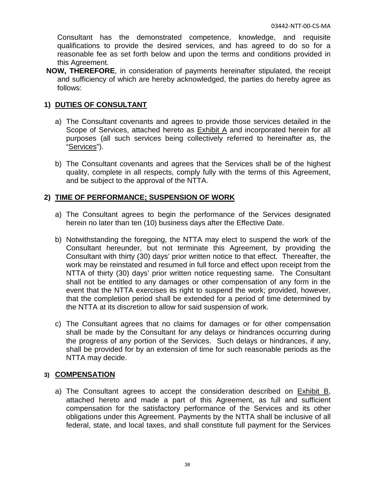Consultant has the demonstrated competence, knowledge, and requisite qualifications to provide the desired services, and has agreed to do so for a reasonable fee as set forth below and upon the terms and conditions provided in this Agreement.

**NOW, THEREFORE**, in consideration of payments hereinafter stipulated, the receipt and sufficiency of which are hereby acknowledged, the parties do hereby agree as follows:

## **1) DUTIES OF CONSULTANT**

- a) The Consultant covenants and agrees to provide those services detailed in the Scope of Services, attached hereto as Exhibit A and incorporated herein for all purposes (all such services being collectively referred to hereinafter as, the "Services").
- b) The Consultant covenants and agrees that the Services shall be of the highest quality, complete in all respects, comply fully with the terms of this Agreement, and be subject to the approval of the NTTA.

## **2) TIME OF PERFORMANCE; SUSPENSION OF WORK**

- a) The Consultant agrees to begin the performance of the Services designated herein no later than ten (10) business days after the Effective Date.
- b) Notwithstanding the foregoing, the NTTA may elect to suspend the work of the Consultant hereunder, but not terminate this Agreement, by providing the Consultant with thirty (30) days' prior written notice to that effect. Thereafter, the work may be reinstated and resumed in full force and effect upon receipt from the NTTA of thirty (30) days' prior written notice requesting same. The Consultant shall not be entitled to any damages or other compensation of any form in the event that the NTTA exercises its right to suspend the work; provided, however, that the completion period shall be extended for a period of time determined by the NTTA at its discretion to allow for said suspension of work.
- c) The Consultant agrees that no claims for damages or for other compensation shall be made by the Consultant for any delays or hindrances occurring during the progress of any portion of the Services. Such delays or hindrances, if any, shall be provided for by an extension of time for such reasonable periods as the NTTA may decide.

## **3) COMPENSATION**

a) The Consultant agrees to accept the consideration described on Exhibit B, attached hereto and made a part of this Agreement, as full and sufficient compensation for the satisfactory performance of the Services and its other obligations under this Agreement. Payments by the NTTA shall be inclusive of all federal, state, and local taxes, and shall constitute full payment for the Services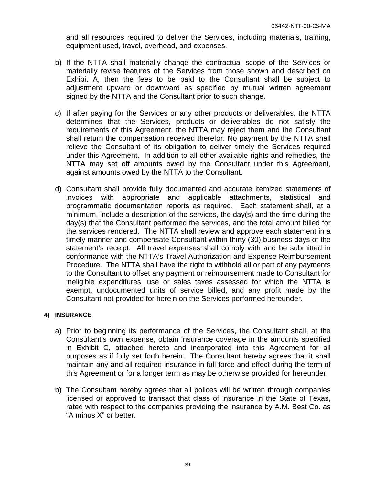and all resources required to deliver the Services, including materials, training, equipment used, travel, overhead, and expenses.

- b) If the NTTA shall materially change the contractual scope of the Services or materially revise features of the Services from those shown and described on Exhibit A, then the fees to be paid to the Consultant shall be subject to adjustment upward or downward as specified by mutual written agreement signed by the NTTA and the Consultant prior to such change.
- c) If after paying for the Services or any other products or deliverables, the NTTA determines that the Services, products or deliverables do not satisfy the requirements of this Agreement, the NTTA may reject them and the Consultant shall return the compensation received therefor. No payment by the NTTA shall relieve the Consultant of its obligation to deliver timely the Services required under this Agreement. In addition to all other available rights and remedies, the NTTA may set off amounts owed by the Consultant under this Agreement, against amounts owed by the NTTA to the Consultant.
- d) Consultant shall provide fully documented and accurate itemized statements of invoices with appropriate and applicable attachments, statistical and programmatic documentation reports as required. Each statement shall, at a minimum, include a description of the services, the day(s) and the time during the day(s) that the Consultant performed the services, and the total amount billed for the services rendered. The NTTA shall review and approve each statement in a timely manner and compensate Consultant within thirty (30) business days of the statement's receipt. All travel expenses shall comply with and be submitted in conformance with the NTTA's Travel Authorization and Expense Reimbursement Procedure. The NTTA shall have the right to withhold all or part of any payments to the Consultant to offset any payment or reimbursement made to Consultant for ineligible expenditures, use or sales taxes assessed for which the NTTA is exempt, undocumented units of service billed, and any profit made by the Consultant not provided for herein on the Services performed hereunder.

#### **4) INSURANCE**

- a) Prior to beginning its performance of the Services, the Consultant shall, at the Consultant's own expense, obtain insurance coverage in the amounts specified in Exhibit C, attached hereto and incorporated into this Agreement for all purposes as if fully set forth herein. The Consultant hereby agrees that it shall maintain any and all required insurance in full force and effect during the term of this Agreement or for a longer term as may be otherwise provided for hereunder.
- b) The Consultant hereby agrees that all polices will be written through companies licensed or approved to transact that class of insurance in the State of Texas, rated with respect to the companies providing the insurance by A.M. Best Co. as "A minus X" or better.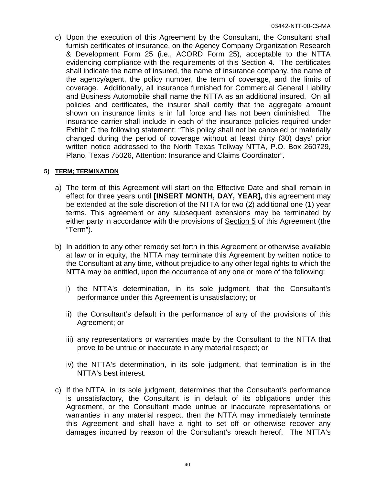c) Upon the execution of this Agreement by the Consultant, the Consultant shall furnish certificates of insurance, on the Agency Company Organization Research & Development Form 25 (i.e., ACORD Form 25), acceptable to the NTTA evidencing compliance with the requirements of this Section 4. The certificates shall indicate the name of insured, the name of insurance company, the name of the agency/agent, the policy number, the term of coverage, and the limits of coverage. Additionally, all insurance furnished for Commercial General Liability and Business Automobile shall name the NTTA as an additional insured. On all policies and certificates, the insurer shall certify that the aggregate amount shown on insurance limits is in full force and has not been diminished. The insurance carrier shall include in each of the insurance policies required under Exhibit C the following statement: "This policy shall not be canceled or materially changed during the period of coverage without at least thirty (30) days' prior written notice addressed to the North Texas Tollway NTTA, P.O. Box 260729, Plano, Texas 75026, Attention: Insurance and Claims Coordinator".

#### **5) TERM; TERMINATION**

- a) The term of this Agreement will start on the Effective Date and shall remain in effect for three years until **[INSERT MONTH, DAY, YEAR],** this agreement may be extended at the sole discretion of the NTTA for two (2) additional one (1) year terms. This agreement or any subsequent extensions may be terminated by either party in accordance with the provisions of Section 5 of this Agreement (the "Term").
- b) In addition to any other remedy set forth in this Agreement or otherwise available at law or in equity, the NTTA may terminate this Agreement by written notice to the Consultant at any time, without prejudice to any other legal rights to which the NTTA may be entitled, upon the occurrence of any one or more of the following:
	- i) the NTTA's determination, in its sole judgment, that the Consultant's performance under this Agreement is unsatisfactory; or
	- ii) the Consultant's default in the performance of any of the provisions of this Agreement; or
	- iii) any representations or warranties made by the Consultant to the NTTA that prove to be untrue or inaccurate in any material respect; or
	- iv) the NTTA's determination, in its sole judgment, that termination is in the NTTA's best interest.
- c) If the NTTA, in its sole judgment, determines that the Consultant's performance is unsatisfactory, the Consultant is in default of its obligations under this Agreement, or the Consultant made untrue or inaccurate representations or warranties in any material respect, then the NTTA may immediately terminate this Agreement and shall have a right to set off or otherwise recover any damages incurred by reason of the Consultant's breach hereof. The NTTA's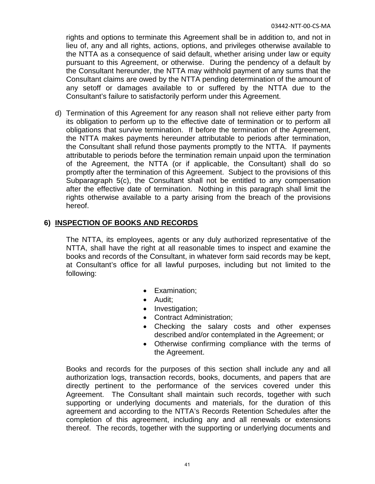rights and options to terminate this Agreement shall be in addition to, and not in lieu of, any and all rights, actions, options, and privileges otherwise available to the NTTA as a consequence of said default, whether arising under law or equity pursuant to this Agreement, or otherwise. During the pendency of a default by the Consultant hereunder, the NTTA may withhold payment of any sums that the Consultant claims are owed by the NTTA pending determination of the amount of any setoff or damages available to or suffered by the NTTA due to the Consultant's failure to satisfactorily perform under this Agreement.

d) Termination of this Agreement for any reason shall not relieve either party from its obligation to perform up to the effective date of termination or to perform all obligations that survive termination. If before the termination of the Agreement, the NTTA makes payments hereunder attributable to periods after termination, the Consultant shall refund those payments promptly to the NTTA. If payments attributable to periods before the termination remain unpaid upon the termination of the Agreement, the NTTA (or if applicable, the Consultant) shall do so promptly after the termination of this Agreement. Subject to the provisions of this Subparagraph 5(c), the Consultant shall not be entitled to any compensation after the effective date of termination. Nothing in this paragraph shall limit the rights otherwise available to a party arising from the breach of the provisions hereof.

## **6) INSPECTION OF BOOKS AND RECORDS**

The NTTA, its employees, agents or any duly authorized representative of the NTTA, shall have the right at all reasonable times to inspect and examine the books and records of the Consultant, in whatever form said records may be kept, at Consultant's office for all lawful purposes, including but not limited to the following:

- Examination;
- Audit;
- Investigation;
- Contract Administration;
- Checking the salary costs and other expenses described and/or contemplated in the Agreement; or
- Otherwise confirming compliance with the terms of the Agreement.

Books and records for the purposes of this section shall include any and all authorization logs, transaction records, books, documents, and papers that are directly pertinent to the performance of the services covered under this Agreement. The Consultant shall maintain such records, together with such supporting or underlying documents and materials, for the duration of this agreement and according to the NTTA's Records Retention Schedules after the completion of this agreement, including any and all renewals or extensions thereof. The records, together with the supporting or underlying documents and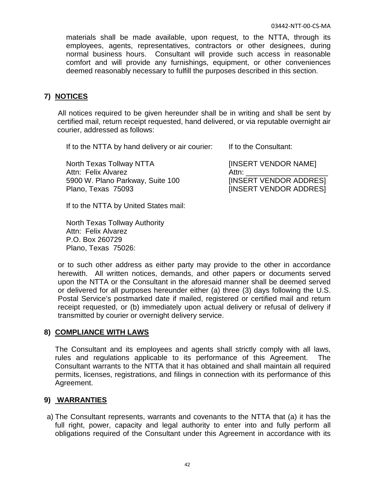materials shall be made available, upon request, to the NTTA, through its employees, agents, representatives, contractors or other designees, during normal business hours. Consultant will provide such access in reasonable comfort and will provide any furnishings, equipment, or other conveniences deemed reasonably necessary to fulfill the purposes described in this section.

## **7) NOTICES**

All notices required to be given hereunder shall be in writing and shall be sent by certified mail, return receipt requested, hand delivered, or via reputable overnight air courier, addressed as follows:

If to the NTTA by hand delivery or air courier: If to the Consultant:

North Texas Tollway NTTA Attn: Felix Alvarez 5900 W. Plano Parkway, Suite 100 Plano, Texas 75093

[INSERT VENDOR NAME] Attn: [INSERT VENDOR ADDRES] [INSERT VENDOR ADDRES]

If to the NTTA by United States mail:

North Texas Tollway Authority Attn: Felix Alvarez P.O. Box 260729 Plano, Texas 75026:

or to such other address as either party may provide to the other in accordance herewith. All written notices, demands, and other papers or documents served upon the NTTA or the Consultant in the aforesaid manner shall be deemed served or delivered for all purposes hereunder either (a) three (3) days following the U.S. Postal Service's postmarked date if mailed, registered or certified mail and return receipt requested, or (b) immediately upon actual delivery or refusal of delivery if transmitted by courier or overnight delivery service.

## **8) COMPLIANCE WITH LAWS**

The Consultant and its employees and agents shall strictly comply with all laws, rules and regulations applicable to its performance of this Agreement. The Consultant warrants to the NTTA that it has obtained and shall maintain all required permits, licenses, registrations, and filings in connection with its performance of this Agreement.

## **9) WARRANTIES**

a) The Consultant represents, warrants and covenants to the NTTA that (a) it has the full right, power, capacity and legal authority to enter into and fully perform all obligations required of the Consultant under this Agreement in accordance with its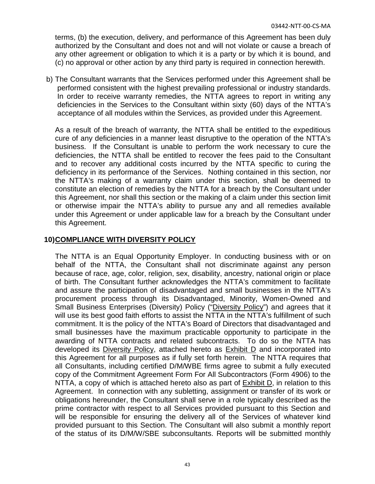terms, (b) the execution, delivery, and performance of this Agreement has been duly authorized by the Consultant and does not and will not violate or cause a breach of any other agreement or obligation to which it is a party or by which it is bound, and (c) no approval or other action by any third party is required in connection herewith.

b) The Consultant warrants that the Services performed under this Agreement shall be performed consistent with the highest prevailing professional or industry standards. In order to receive warranty remedies, the NTTA agrees to report in writing any deficiencies in the Services to the Consultant within sixty (60) days of the NTTA's acceptance of all modules within the Services, as provided under this Agreement.

As a result of the breach of warranty, the NTTA shall be entitled to the expeditious cure of any deficiencies in a manner least disruptive to the operation of the NTTA's business. If the Consultant is unable to perform the work necessary to cure the deficiencies, the NTTA shall be entitled to recover the fees paid to the Consultant and to recover any additional costs incurred by the NTTA specific to curing the deficiency in its performance of the Services. Nothing contained in this section, nor the NTTA's making of a warranty claim under this section, shall be deemed to constitute an election of remedies by the NTTA for a breach by the Consultant under this Agreement, nor shall this section or the making of a claim under this section limit or otherwise impair the NTTA's ability to pursue any and all remedies available under this Agreement or under applicable law for a breach by the Consultant under this Agreement.

## **10)COMPLIANCE WITH DIVERSITY POLICY**

The NTTA is an Equal Opportunity Employer. In conducting business with or on behalf of the NTTA, the Consultant shall not discriminate against any person because of race, age, color, religion, sex, disability, ancestry, national origin or place of birth. The Consultant further acknowledges the NTTA's commitment to facilitate and assure the participation of disadvantaged and small businesses in the NTTA's procurement process through its Disadvantaged, Minority, Women-Owned and Small Business Enterprises (Diversity) Policy ("Diversity Policy") and agrees that it will use its best good faith efforts to assist the NTTA in the NTTA's fulfillment of such commitment. It is the policy of the NTTA's Board of Directors that disadvantaged and small businesses have the maximum practicable opportunity to participate in the awarding of NTTA contracts and related subcontracts. To do so the NTTA has developed its Diversity Policy, attached hereto as Exhibit D and incorporated into this Agreement for all purposes as if fully set forth herein. The NTTA requires that all Consultants, including certified D/M/WBE firms agree to submit a fully executed copy of the Commitment Agreement Form For All Subcontractors (Form 4906) to the NTTA, a copy of which is attached hereto also as part of  $Exhibit D$ , in relation to this Agreement. In connection with any subletting, assignment or transfer of its work or obligations hereunder, the Consultant shall serve in a role typically described as the prime contractor with respect to all Services provided pursuant to this Section and will be responsible for ensuring the delivery all of the Services of whatever kind provided pursuant to this Section. The Consultant will also submit a monthly report of the status of its D/M/W/SBE subconsultants. Reports will be submitted monthly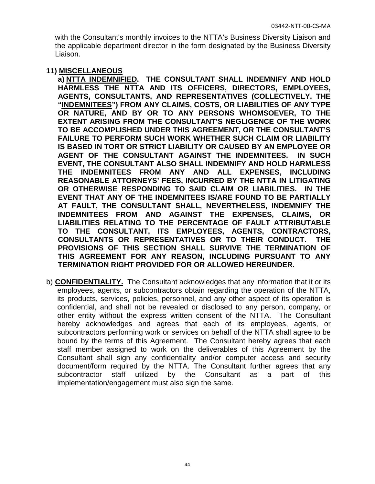with the Consultant's monthly invoices to the NTTA's Business Diversity Liaison and the applicable department director in the form designated by the Business Diversity Liaison.

#### **11) MISCELLANEOUS**

**a) NTTA INDEMNIFIED. THE CONSULTANT SHALL INDEMNIFY AND HOLD HARMLESS THE NTTA AND ITS OFFICERS, DIRECTORS, EMPLOYEES, AGENTS, CONSULTANTS, AND REPRESENTATIVES (COLLECTIVELY, THE "INDEMNITEES") FROM ANY CLAIMS, COSTS, OR LIABILITIES OF ANY TYPE OR NATURE, AND BY OR TO ANY PERSONS WHOMSOEVER, TO THE EXTENT ARISING FROM THE CONSULTANT'S NEGLIGENCE OF THE WORK TO BE ACCOMPLISHED UNDER THIS AGREEMENT, OR THE CONSULTANT'S FAILURE TO PERFORM SUCH WORK WHETHER SUCH CLAIM OR LIABILITY IS BASED IN TORT OR STRICT LIABILITY OR CAUSED BY AN EMPLOYEE OR AGENT OF THE CONSULTANT AGAINST THE INDEMNITEES. IN SUCH EVENT, THE CONSULTANT ALSO SHALL INDEMNIFY AND HOLD HARMLESS THE INDEMNITEES FROM ANY AND ALL EXPENSES, INCLUDING REASONABLE ATTORNEYS' FEES, INCURRED BY THE NTTA IN LITIGATING OR OTHERWISE RESPONDING TO SAID CLAIM OR LIABILITIES. IN THE EVENT THAT ANY OF THE INDEMNITEES IS/ARE FOUND TO BE PARTIALLY AT FAULT, THE CONSULTANT SHALL, NEVERTHELESS, INDEMNIFY THE INDEMNITEES FROM AND AGAINST THE EXPENSES, CLAIMS, OR LIABILITIES RELATING TO THE PERCENTAGE OF FAULT ATTRIBUTABLE TO THE CONSULTANT, ITS EMPLOYEES, AGENTS, CONTRACTORS, CONSULTANTS OR REPRESENTATIVES OR TO THEIR CONDUCT. THE PROVISIONS OF THIS SECTION SHALL SURVIVE THE TERMINATION OF THIS AGREEMENT FOR ANY REASON, INCLUDING PURSUANT TO ANY TERMINATION RIGHT PROVIDED FOR OR ALLOWED HEREUNDER.**

b) **CONFIDENTIALITY.** The Consultant acknowledges that any information that it or its employees, agents, or subcontractors obtain regarding the operation of the NTTA, its products, services, policies, personnel, and any other aspect of its operation is confidential, and shall not be revealed or disclosed to any person, company, or other entity without the express written consent of the NTTA. The Consultant hereby acknowledges and agrees that each of its employees, agents, or subcontractors performing work or services on behalf of the NTTA shall agree to be bound by the terms of this Agreement. The Consultant hereby agrees that each staff member assigned to work on the deliverables of this Agreement by the Consultant shall sign any confidentiality and/or computer access and security document/form required by the NTTA. The Consultant further agrees that any subcontractor staff utilized by the Consultant as a part of this implementation/engagement must also sign the same.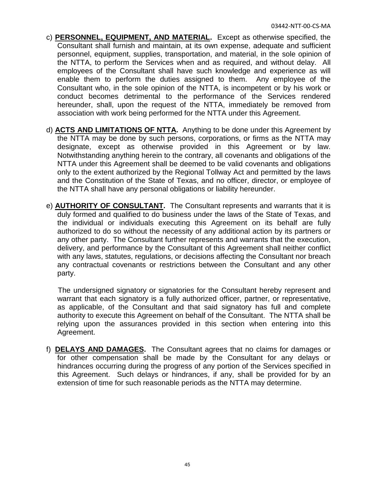- c) **PERSONNEL, EQUIPMENT, AND MATERIAL.** Except as otherwise specified, the Consultant shall furnish and maintain, at its own expense, adequate and sufficient personnel, equipment, supplies, transportation, and material, in the sole opinion of the NTTA, to perform the Services when and as required, and without delay. All employees of the Consultant shall have such knowledge and experience as will enable them to perform the duties assigned to them. Any employee of the Consultant who, in the sole opinion of the NTTA, is incompetent or by his work or conduct becomes detrimental to the performance of the Services rendered hereunder, shall, upon the request of the NTTA, immediately be removed from association with work being performed for the NTTA under this Agreement.
- d) **ACTS AND LIMITATIONS OF NTTA.** Anything to be done under this Agreement by the NTTA may be done by such persons, corporations, or firms as the NTTA may designate, except as otherwise provided in this Agreement or by law. Notwithstanding anything herein to the contrary, all covenants and obligations of the NTTA under this Agreement shall be deemed to be valid covenants and obligations only to the extent authorized by the Regional Tollway Act and permitted by the laws and the Constitution of the State of Texas, and no officer, director, or employee of the NTTA shall have any personal obligations or liability hereunder.
- e) **AUTHORITY OF CONSULTANT.** The Consultant represents and warrants that it is duly formed and qualified to do business under the laws of the State of Texas, and the individual or individuals executing this Agreement on its behalf are fully authorized to do so without the necessity of any additional action by its partners or any other party. The Consultant further represents and warrants that the execution, delivery, and performance by the Consultant of this Agreement shall neither conflict with any laws, statutes, regulations, or decisions affecting the Consultant nor breach any contractual covenants or restrictions between the Consultant and any other party.

The undersigned signatory or signatories for the Consultant hereby represent and warrant that each signatory is a fully authorized officer, partner, or representative, as applicable, of the Consultant and that said signatory has full and complete authority to execute this Agreement on behalf of the Consultant. The NTTA shall be relying upon the assurances provided in this section when entering into this Agreement.

f) **DELAYS AND DAMAGES.** The Consultant agrees that no claims for damages or for other compensation shall be made by the Consultant for any delays or hindrances occurring during the progress of any portion of the Services specified in this Agreement. Such delays or hindrances, if any, shall be provided for by an extension of time for such reasonable periods as the NTTA may determine.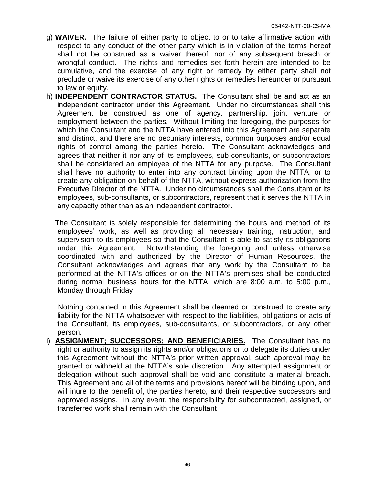- g) **WAIVER.** The failure of either party to object to or to take affirmative action with respect to any conduct of the other party which is in violation of the terms hereof shall not be construed as a waiver thereof, nor of any subsequent breach or wrongful conduct. The rights and remedies set forth herein are intended to be cumulative, and the exercise of any right or remedy by either party shall not preclude or waive its exercise of any other rights or remedies hereunder or pursuant to law or equity.
- h) **INDEPENDENT CONTRACTOR STATUS.** The Consultant shall be and act as an independent contractor under this Agreement. Under no circumstances shall this Agreement be construed as one of agency, partnership, joint venture or employment between the parties. Without limiting the foregoing, the purposes for which the Consultant and the NTTA have entered into this Agreement are separate and distinct, and there are no pecuniary interests, common purposes and/or equal rights of control among the parties hereto. The Consultant acknowledges and agrees that neither it nor any of its employees, sub-consultants, or subcontractors shall be considered an employee of the NTTA for any purpose. The Consultant shall have no authority to enter into any contract binding upon the NTTA, or to create any obligation on behalf of the NTTA, without express authorization from the Executive Director of the NTTA. Under no circumstances shall the Consultant or its employees, sub-consultants, or subcontractors, represent that it serves the NTTA in any capacity other than as an independent contractor.

The Consultant is solely responsible for determining the hours and method of its employees' work, as well as providing all necessary training, instruction, and supervision to its employees so that the Consultant is able to satisfy its obligations under this Agreement. Notwithstanding the foregoing and unless otherwise coordinated with and authorized by the Director of Human Resources, the Consultant acknowledges and agrees that any work by the Consultant to be performed at the NTTA's offices or on the NTTA's premises shall be conducted during normal business hours for the NTTA, which are 8:00 a.m. to 5:00 p.m., Monday through Friday

Nothing contained in this Agreement shall be deemed or construed to create any liability for the NTTA whatsoever with respect to the liabilities, obligations or acts of the Consultant, its employees, sub-consultants, or subcontractors, or any other person.

i) **ASSIGNMENT; SUCCESSORS; AND BENEFICIARIES.** The Consultant has no right or authority to assign its rights and/or obligations or to delegate its duties under this Agreement without the NTTA's prior written approval, such approval may be granted or withheld at the NTTA's sole discretion. Any attempted assignment or delegation without such approval shall be void and constitute a material breach. This Agreement and all of the terms and provisions hereof will be binding upon, and will inure to the benefit of, the parties hereto, and their respective successors and approved assigns. In any event, the responsibility for subcontracted, assigned, or transferred work shall remain with the Consultant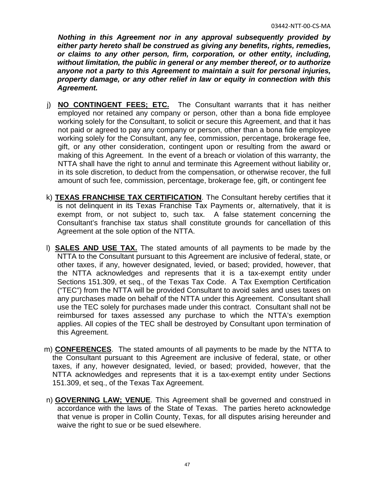*Nothing in this Agreement nor in any approval subsequently provided by either party hereto shall be construed as giving any benefits, rights, remedies, or claims to any other person, firm, corporation, or other entity, including, without limitation, the public in general or any member thereof, or to authorize anyone not a party to this Agreement to maintain a suit for personal injuries, property damage, or any other relief in law or equity in connection with this Agreement.*

- j) **NO CONTINGENT FEES; ETC.** The Consultant warrants that it has neither employed nor retained any company or person, other than a bona fide employee working solely for the Consultant, to solicit or secure this Agreement, and that it has not paid or agreed to pay any company or person, other than a bona fide employee working solely for the Consultant, any fee, commission, percentage, brokerage fee, gift, or any other consideration, contingent upon or resulting from the award or making of this Agreement. In the event of a breach or violation of this warranty, the NTTA shall have the right to annul and terminate this Agreement without liability or, in its sole discretion, to deduct from the compensation, or otherwise recover, the full amount of such fee, commission, percentage, brokerage fee, gift, or contingent fee
- k) **TEXAS FRANCHISE TAX CERTIFICATION**. The Consultant hereby certifies that it is not delinquent in its Texas Franchise Tax Payments or, alternatively, that it is exempt from, or not subject to, such tax. A false statement concerning the Consultant's franchise tax status shall constitute grounds for cancellation of this Agreement at the sole option of the NTTA.
- l) **SALES AND USE TAX.** The stated amounts of all payments to be made by the NTTA to the Consultant pursuant to this Agreement are inclusive of federal, state, or other taxes, if any, however designated, levied, or based; provided, however, that the NTTA acknowledges and represents that it is a tax-exempt entity under Sections 151.309, et seq., of the Texas Tax Code. A Tax Exemption Certification ("TEC") from the NTTA will be provided Consultant to avoid sales and uses taxes on any purchases made on behalf of the NTTA under this Agreement. Consultant shall use the TEC solely for purchases made under this contract. Consultant shall not be reimbursed for taxes assessed any purchase to which the NTTA's exemption applies. All copies of the TEC shall be destroyed by Consultant upon termination of this Agreement.
- m) **CONFERENCES**. The stated amounts of all payments to be made by the NTTA to the Consultant pursuant to this Agreement are inclusive of federal, state, or other taxes, if any, however designated, levied, or based; provided, however, that the NTTA acknowledges and represents that it is a tax-exempt entity under Sections 151.309, et seq., of the Texas Tax Agreement.
- n) **GOVERNING LAW; VENUE**. This Agreement shall be governed and construed in accordance with the laws of the State of Texas. The parties hereto acknowledge that venue is proper in Collin County, Texas, for all disputes arising hereunder and waive the right to sue or be sued elsewhere.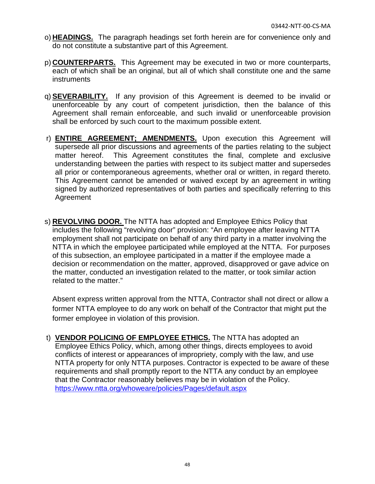- o) **HEADINGS.** The paragraph headings set forth herein are for convenience only and do not constitute a substantive part of this Agreement.
- p) **COUNTERPARTS.** This Agreement may be executed in two or more counterparts, each of which shall be an original, but all of which shall constitute one and the same instruments
- q) **SEVERABILITY.** If any provision of this Agreement is deemed to be invalid or unenforceable by any court of competent jurisdiction, then the balance of this Agreement shall remain enforceable, and such invalid or unenforceable provision shall be enforced by such court to the maximum possible extent.
- r) **ENTIRE AGREEMENT; AMENDMENTS.** Upon execution this Agreement will supersede all prior discussions and agreements of the parties relating to the subject matter hereof. This Agreement constitutes the final, complete and exclusive understanding between the parties with respect to its subject matter and supersedes all prior or contemporaneous agreements, whether oral or written, in regard thereto. This Agreement cannot be amended or waived except by an agreement in writing signed by authorized representatives of both parties and specifically referring to this Agreement
- s) **REVOLVING DOOR.** The NTTA has adopted and Employee Ethics Policy that includes the following "revolving door" provision: "An employee after leaving NTTA employment shall not participate on behalf of any third party in a matter involving the NTTA in which the employee participated while employed at the NTTA. For purposes of this subsection, an employee participated in a matter if the employee made a decision or recommendation on the matter, approved, disapproved or gave advice on the matter, conducted an investigation related to the matter, or took similar action related to the matter."

Absent express written approval from the NTTA, Contractor shall not direct or allow a former NTTA employee to do any work on behalf of the Contractor that might put the former employee in violation of this provision.

t) **VENDOR POLICING OF EMPLOYEE ETHICS.** The NTTA has adopted an Employee Ethics Policy, which, among other things, directs employees to avoid conflicts of interest or appearances of impropriety, comply with the law, and use NTTA property for only NTTA purposes. Contractor is expected to be aware of these requirements and shall promptly report to the NTTA any conduct by an employee that the Contractor reasonably believes may be in violation of the Policy. <https://www.ntta.org/whoweare/policies/Pages/default.aspx>